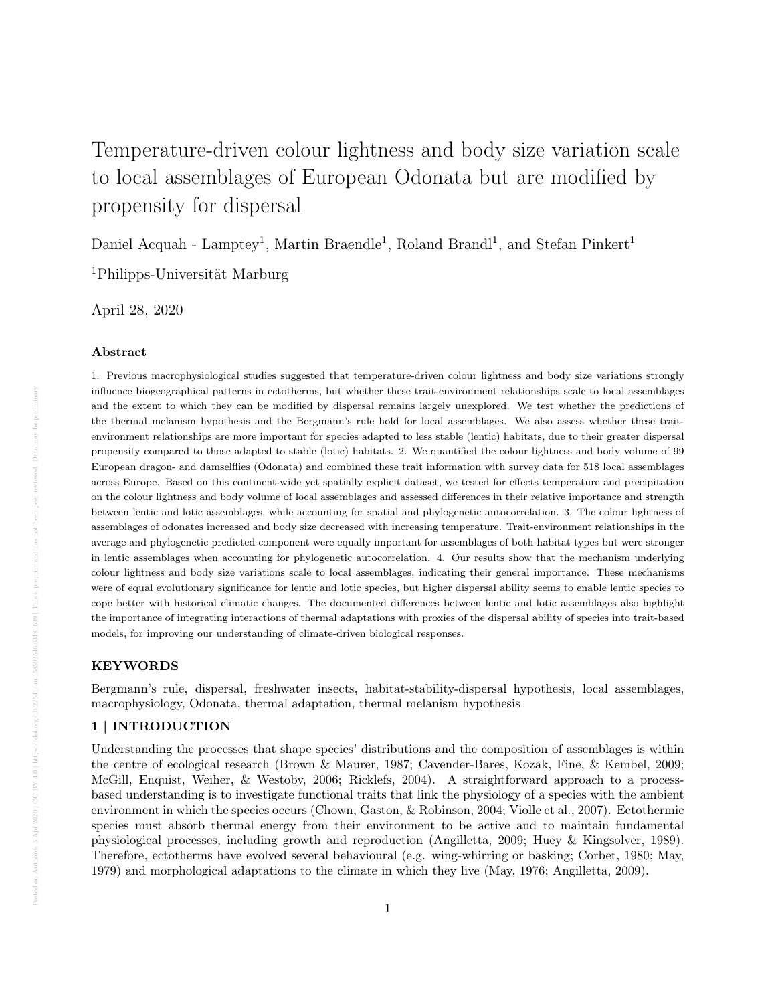# Temperature-driven colour lightness and body size variation scale to local assemblages of European Odonata but are modified by propensity for dispersal

Daniel Acquah - Lamptey<sup>1</sup>, Martin Braendle<sup>1</sup>, Roland Brandl<sup>1</sup>, and Stefan Pinkert<sup>1</sup>

<sup>1</sup>Philipps-Universität Marburg

April 28, 2020

## Abstract

1. Previous macrophysiological studies suggested that temperature-driven colour lightness and body size variations strongly influence biogeographical patterns in ectotherms, but whether these trait-environment relationships scale to local assemblages and the extent to which they can be modified by dispersal remains largely unexplored. We test whether the predictions of the thermal melanism hypothesis and the Bergmann's rule hold for local assemblages. We also assess whether these traitenvironment relationships are more important for species adapted to less stable (lentic) habitats, due to their greater dispersal propensity compared to those adapted to stable (lotic) habitats. 2. We quantified the colour lightness and body volume of 99 European dragon- and damselflies (Odonata) and combined these trait information with survey data for 518 local assemblages across Europe. Based on this continent-wide yet spatially explicit dataset, we tested for effects temperature and precipitation on the colour lightness and body volume of local assemblages and assessed differences in their relative importance and strength between lentic and lotic assemblages, while accounting for spatial and phylogenetic autocorrelation. 3. The colour lightness of assemblages of odonates increased and body size decreased with increasing temperature. Trait-environment relationships in the average and phylogenetic predicted component were equally important for assemblages of both habitat types but were stronger in lentic assemblages when accounting for phylogenetic autocorrelation. 4. Our results show that the mechanism underlying colour lightness and body size variations scale to local assemblages, indicating their general importance. These mechanisms were of equal evolutionary significance for lentic and lotic species, but higher dispersal ability seems to enable lentic species to cope better with historical climatic changes. The documented differences between lentic and lotic assemblages also highlight the importance of integrating interactions of thermal adaptations with proxies of the dispersal ability of species into trait-based models, for improving our understanding of climate-driven biological responses.

# KEYWORDS

Bergmann's rule, dispersal, freshwater insects, habitat-stability-dispersal hypothesis, local assemblages, macrophysiology, Odonata, thermal adaptation, thermal melanism hypothesis

## 1 | INTRODUCTION

Understanding the processes that shape species' distributions and the composition of assemblages is within the centre of ecological research (Brown & Maurer, 1987; Cavender-Bares, Kozak, Fine, & Kembel, 2009; McGill, Enquist, Weiher, & Westoby, 2006; Ricklefs, 2004). A straightforward approach to a processbased understanding is to investigate functional traits that link the physiology of a species with the ambient environment in which the species occurs (Chown, Gaston, & Robinson, 2004; Violle et al., 2007). Ectothermic species must absorb thermal energy from their environment to be active and to maintain fundamental physiological processes, including growth and reproduction (Angilletta, 2009; Huey & Kingsolver, 1989). Therefore, ectotherms have evolved several behavioural (e.g. wing-whirring or basking; Corbet, 1980; May, 1979) and morphological adaptations to the climate in which they live (May, 1976; Angilletta, 2009).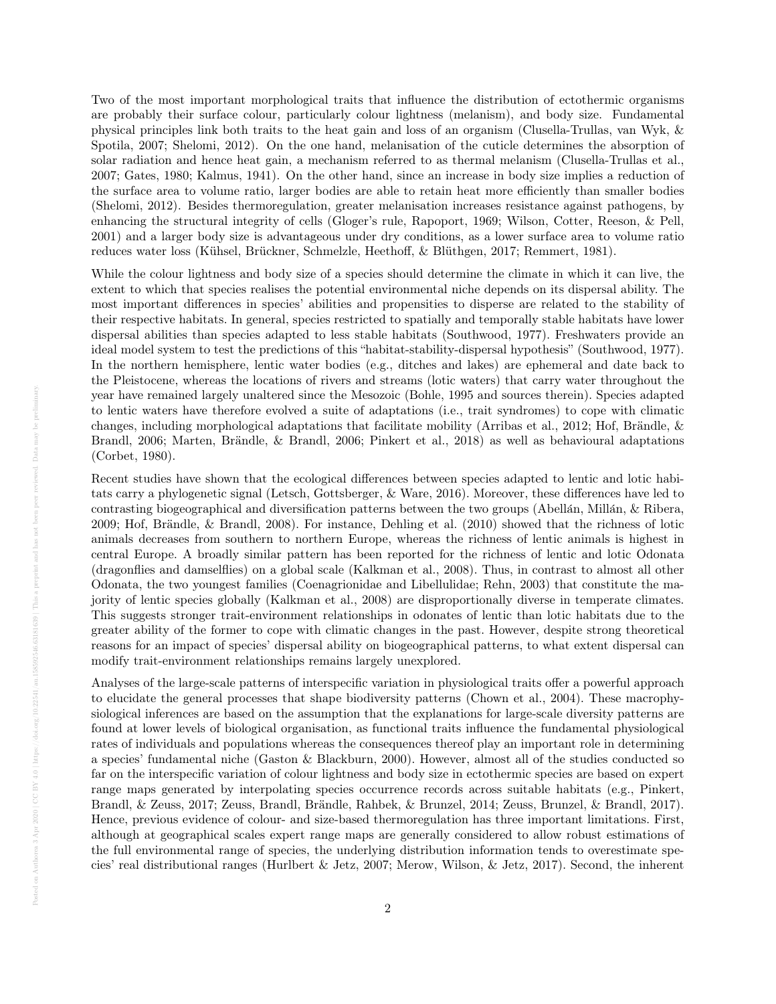Two of the most important morphological traits that influence the distribution of ectothermic organisms are probably their surface colour, particularly colour lightness (melanism), and body size. Fundamental physical principles link both traits to the heat gain and loss of an organism (Clusella-Trullas, van Wyk, & Spotila, 2007; Shelomi, 2012). On the one hand, melanisation of the cuticle determines the absorption of solar radiation and hence heat gain, a mechanism referred to as thermal melanism (Clusella-Trullas et al., 2007; Gates, 1980; Kalmus, 1941). On the other hand, since an increase in body size implies a reduction of the surface area to volume ratio, larger bodies are able to retain heat more efficiently than smaller bodies (Shelomi, 2012). Besides thermoregulation, greater melanisation increases resistance against pathogens, by enhancing the structural integrity of cells (Gloger's rule, Rapoport, 1969; Wilson, Cotter, Reeson, & Pell, 2001) and a larger body size is advantageous under dry conditions, as a lower surface area to volume ratio reduces water loss (Kühsel, Brückner, Schmelzle, Heethoff, & Blüthgen, 2017; Remmert, 1981).

While the colour lightness and body size of a species should determine the climate in which it can live, the extent to which that species realises the potential environmental niche depends on its dispersal ability. The most important differences in species' abilities and propensities to disperse are related to the stability of their respective habitats. In general, species restricted to spatially and temporally stable habitats have lower dispersal abilities than species adapted to less stable habitats (Southwood, 1977). Freshwaters provide an ideal model system to test the predictions of this "habitat-stability-dispersal hypothesis" (Southwood, 1977). In the northern hemisphere, lentic water bodies (e.g., ditches and lakes) are ephemeral and date back to the Pleistocene, whereas the locations of rivers and streams (lotic waters) that carry water throughout the year have remained largely unaltered since the Mesozoic (Bohle, 1995 and sources therein). Species adapted to lentic waters have therefore evolved a suite of adaptations (i.e., trait syndromes) to cope with climatic changes, including morphological adaptations that facilitate mobility (Arribas et al., 2012; Hof, Brändle,  $\&$ Brandl, 2006; Marten, Brändle, & Brandl, 2006; Pinkert et al., 2018) as well as behavioural adaptations (Corbet, 1980).

Recent studies have shown that the ecological differences between species adapted to lentic and lotic habitats carry a phylogenetic signal (Letsch, Gottsberger, & Ware, 2016). Moreover, these differences have led to contrasting biogeographical and diversification patterns between the two groups (Abellán, Millán, & Ribera,  $2009$ ; Hof, Brändle, & Brandl,  $2008$ ). For instance, Dehling et al.  $(2010)$  showed that the richness of lotic animals decreases from southern to northern Europe, whereas the richness of lentic animals is highest in central Europe. A broadly similar pattern has been reported for the richness of lentic and lotic Odonata (dragonflies and damselflies) on a global scale (Kalkman et al., 2008). Thus, in contrast to almost all other Odonata, the two youngest families (Coenagrionidae and Libellulidae; Rehn, 2003) that constitute the majority of lentic species globally (Kalkman et al., 2008) are disproportionally diverse in temperate climates. This suggests stronger trait-environment relationships in odonates of lentic than lotic habitats due to the greater ability of the former to cope with climatic changes in the past. However, despite strong theoretical reasons for an impact of species' dispersal ability on biogeographical patterns, to what extent dispersal can modify trait-environment relationships remains largely unexplored.

Analyses of the large-scale patterns of interspecific variation in physiological traits offer a powerful approach to elucidate the general processes that shape biodiversity patterns (Chown et al., 2004). These macrophysiological inferences are based on the assumption that the explanations for large-scale diversity patterns are found at lower levels of biological organisation, as functional traits influence the fundamental physiological rates of individuals and populations whereas the consequences thereof play an important role in determining a species' fundamental niche (Gaston & Blackburn, 2000). However, almost all of the studies conducted so far on the interspecific variation of colour lightness and body size in ectothermic species are based on expert range maps generated by interpolating species occurrence records across suitable habitats (e.g., Pinkert, Brandl, & Zeuss, 2017; Zeuss, Brandl, Brändle, Rahbek, & Brunzel, 2014; Zeuss, Brunzel, & Brandl, 2017). Hence, previous evidence of colour- and size-based thermoregulation has three important limitations. First, although at geographical scales expert range maps are generally considered to allow robust estimations of the full environmental range of species, the underlying distribution information tends to overestimate species' real distributional ranges (Hurlbert & Jetz, 2007; Merow, Wilson, & Jetz, 2017). Second, the inherent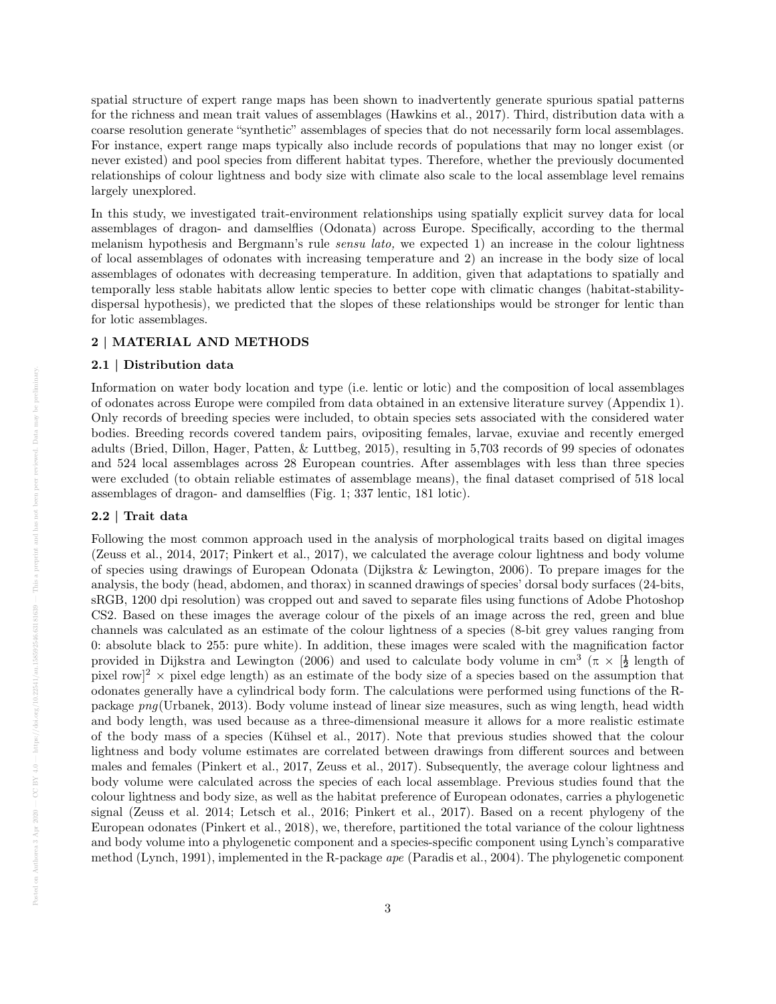spatial structure of expert range maps has been shown to inadvertently generate spurious spatial patterns for the richness and mean trait values of assemblages (Hawkins et al., 2017). Third, distribution data with a coarse resolution generate "synthetic" assemblages of species that do not necessarily form local assemblages. For instance, expert range maps typically also include records of populations that may no longer exist (or never existed) and pool species from different habitat types. Therefore, whether the previously documented relationships of colour lightness and body size with climate also scale to the local assemblage level remains largely unexplored.

In this study, we investigated trait-environment relationships using spatially explicit survey data for local assemblages of dragon- and damselflies (Odonata) across Europe. Specifically, according to the thermal melanism hypothesis and Bergmann's rule sensu lato, we expected 1) an increase in the colour lightness of local assemblages of odonates with increasing temperature and 2) an increase in the body size of local assemblages of odonates with decreasing temperature. In addition, given that adaptations to spatially and temporally less stable habitats allow lentic species to better cope with climatic changes (habitat-stabilitydispersal hypothesis), we predicted that the slopes of these relationships would be stronger for lentic than for lotic assemblages.

# 2 | MATERIAL AND METHODS

## 2.1 | Distribution data

Information on water body location and type (i.e. lentic or lotic) and the composition of local assemblages of odonates across Europe were compiled from data obtained in an extensive literature survey (Appendix 1). Only records of breeding species were included, to obtain species sets associated with the considered water bodies. Breeding records covered tandem pairs, ovipositing females, larvae, exuviae and recently emerged adults (Bried, Dillon, Hager, Patten, & Luttbeg, 2015), resulting in 5,703 records of 99 species of odonates and 524 local assemblages across 28 European countries. After assemblages with less than three species were excluded (to obtain reliable estimates of assemblage means), the final dataset comprised of 518 local assemblages of dragon- and damselflies (Fig. 1; 337 lentic, 181 lotic).

# 2.2 | Trait data

Following the most common approach used in the analysis of morphological traits based on digital images (Zeuss et al., 2014, 2017; Pinkert et al., 2017), we calculated the average colour lightness and body volume of species using drawings of European Odonata (Dijkstra & Lewington, 2006). To prepare images for the analysis, the body (head, abdomen, and thorax) in scanned drawings of species' dorsal body surfaces (24-bits, sRGB, 1200 dpi resolution) was cropped out and saved to separate files using functions of Adobe Photoshop CS2. Based on these images the average colour of the pixels of an image across the red, green and blue channels was calculated as an estimate of the colour lightness of a species (8-bit grey values ranging from 0: absolute black to 255: pure white). In addition, these images were scaled with the magnification factor provided in Dijkstra and Lewington (2006) and used to calculate body volume in cm<sup>3</sup> ( $\pi \times \frac{1}{2}$  length of pixel row<sup> $2 \times$ </sup> pixel edge length) as an estimate of the body size of a species based on the assumption that odonates generally have a cylindrical body form. The calculations were performed using functions of the Rpackage png(Urbanek, 2013). Body volume instead of linear size measures, such as wing length, head width and body length, was used because as a three-dimensional measure it allows for a more realistic estimate of the body mass of a species (Kühsel et al.,  $2017$ ). Note that previous studies showed that the colour lightness and body volume estimates are correlated between drawings from different sources and between males and females (Pinkert et al., 2017, Zeuss et al., 2017). Subsequently, the average colour lightness and body volume were calculated across the species of each local assemblage. Previous studies found that the colour lightness and body size, as well as the habitat preference of European odonates, carries a phylogenetic signal (Zeuss et al. 2014; Letsch et al., 2016; Pinkert et al., 2017). Based on a recent phylogeny of the European odonates (Pinkert et al., 2018), we, therefore, partitioned the total variance of the colour lightness and body volume into a phylogenetic component and a species-specific component using Lynch's comparative method (Lynch, 1991), implemented in the R-package ape (Paradis et al., 2004). The phylogenetic component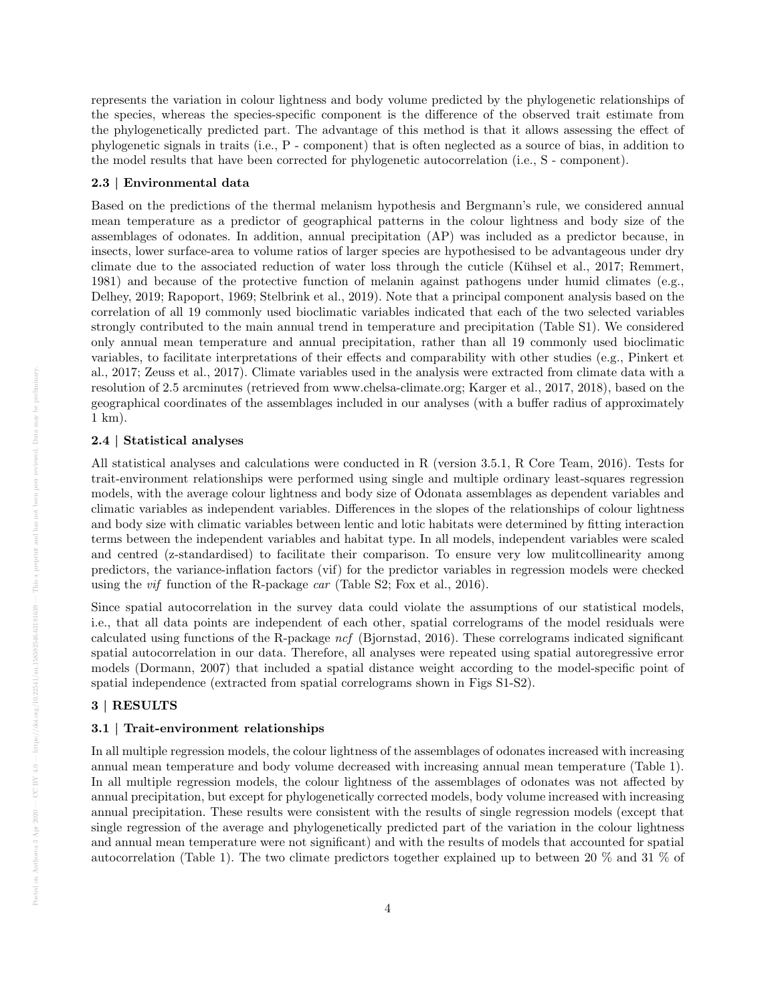represents the variation in colour lightness and body volume predicted by the phylogenetic relationships of the species, whereas the species-specific component is the difference of the observed trait estimate from the phylogenetically predicted part. The advantage of this method is that it allows assessing the effect of phylogenetic signals in traits (i.e., P - component) that is often neglected as a source of bias, in addition to the model results that have been corrected for phylogenetic autocorrelation (i.e., S - component).

#### 2.3 | Environmental data

Based on the predictions of the thermal melanism hypothesis and Bergmann's rule, we considered annual mean temperature as a predictor of geographical patterns in the colour lightness and body size of the assemblages of odonates. In addition, annual precipitation (AP) was included as a predictor because, in insects, lower surface-area to volume ratios of larger species are hypothesised to be advantageous under dry climate due to the associated reduction of water loss through the cuticle (Kühsel et al.,  $2017$ ; Remmert, 1981) and because of the protective function of melanin against pathogens under humid climates (e.g., Delhey, 2019; Rapoport, 1969; Stelbrink et al., 2019). Note that a principal component analysis based on the correlation of all 19 commonly used bioclimatic variables indicated that each of the two selected variables strongly contributed to the main annual trend in temperature and precipitation (Table S1). We considered only annual mean temperature and annual precipitation, rather than all 19 commonly used bioclimatic variables, to facilitate interpretations of their effects and comparability with other studies (e.g., Pinkert et al., 2017; Zeuss et al., 2017). Climate variables used in the analysis were extracted from climate data with a resolution of 2.5 arcminutes (retrieved from www.chelsa-climate.org; Karger et al., 2017, 2018), based on the geographical coordinates of the assemblages included in our analyses (with a buffer radius of approximately 1 km).

## 2.4 | Statistical analyses

All statistical analyses and calculations were conducted in R (version 3.5.1, R Core Team, 2016). Tests for trait-environment relationships were performed using single and multiple ordinary least-squares regression models, with the average colour lightness and body size of Odonata assemblages as dependent variables and climatic variables as independent variables. Differences in the slopes of the relationships of colour lightness and body size with climatic variables between lentic and lotic habitats were determined by fitting interaction terms between the independent variables and habitat type. In all models, independent variables were scaled and centred (z-standardised) to facilitate their comparison. To ensure very low mulitcollinearity among predictors, the variance-inflation factors (vif) for the predictor variables in regression models were checked using the vif function of the R-package car (Table S2; Fox et al., 2016).

Since spatial autocorrelation in the survey data could violate the assumptions of our statistical models, i.e., that all data points are independent of each other, spatial correlograms of the model residuals were calculated using functions of the R-package ncf (Bjornstad, 2016). These correlograms indicated significant spatial autocorrelation in our data. Therefore, all analyses were repeated using spatial autoregressive error models (Dormann, 2007) that included a spatial distance weight according to the model-specific point of spatial independence (extracted from spatial correlograms shown in Figs S1-S2).

# 3 | RESULTS

#### 3.1 | Trait-environment relationships

In all multiple regression models, the colour lightness of the assemblages of odonates increased with increasing annual mean temperature and body volume decreased with increasing annual mean temperature (Table 1). In all multiple regression models, the colour lightness of the assemblages of odonates was not affected by annual precipitation, but except for phylogenetically corrected models, body volume increased with increasing annual precipitation. These results were consistent with the results of single regression models (except that single regression of the average and phylogenetically predicted part of the variation in the colour lightness and annual mean temperature were not significant) and with the results of models that accounted for spatial autocorrelation (Table 1). The two climate predictors together explained up to between 20 % and 31 % of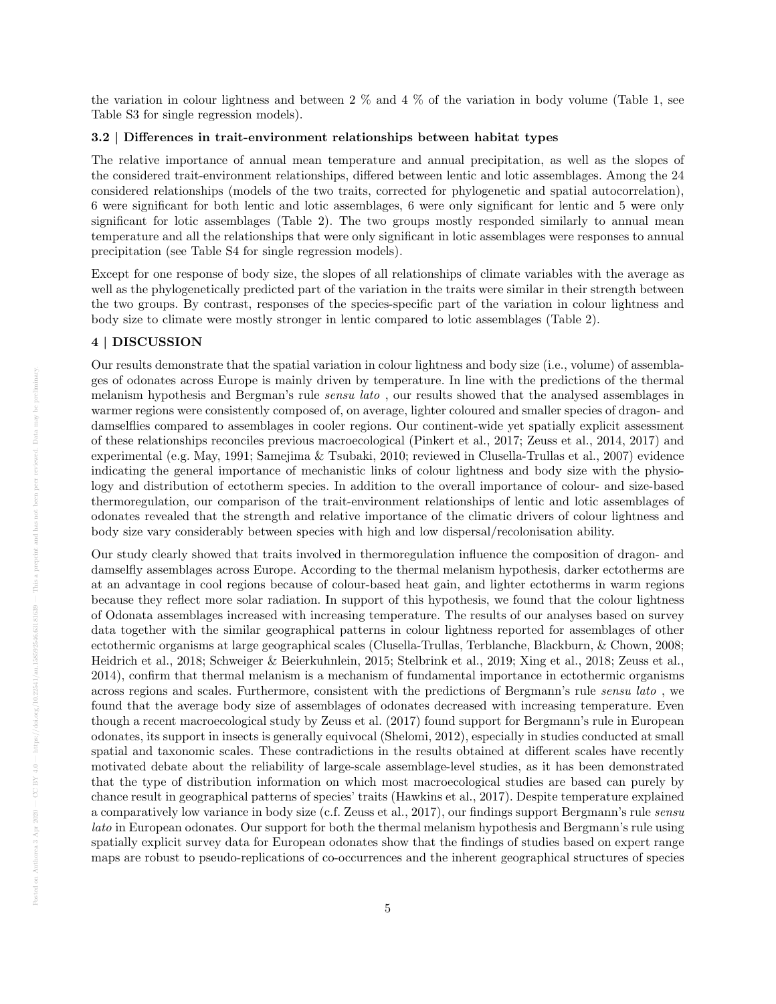the variation in colour lightness and between 2 % and 4 % of the variation in body volume (Table 1, see Table S3 for single regression models).

## 3.2 | Differences in trait-environment relationships between habitat types

The relative importance of annual mean temperature and annual precipitation, as well as the slopes of the considered trait-environment relationships, differed between lentic and lotic assemblages. Among the 24 considered relationships (models of the two traits, corrected for phylogenetic and spatial autocorrelation), 6 were significant for both lentic and lotic assemblages, 6 were only significant for lentic and 5 were only significant for lotic assemblages (Table 2). The two groups mostly responded similarly to annual mean temperature and all the relationships that were only significant in lotic assemblages were responses to annual precipitation (see Table S4 for single regression models).

Except for one response of body size, the slopes of all relationships of climate variables with the average as well as the phylogenetically predicted part of the variation in the traits were similar in their strength between the two groups. By contrast, responses of the species-specific part of the variation in colour lightness and body size to climate were mostly stronger in lentic compared to lotic assemblages (Table 2).

## 4 | DISCUSSION

Our results demonstrate that the spatial variation in colour lightness and body size (i.e., volume) of assemblages of odonates across Europe is mainly driven by temperature. In line with the predictions of the thermal melanism hypothesis and Bergman's rule sensu lato , our results showed that the analysed assemblages in warmer regions were consistently composed of, on average, lighter coloured and smaller species of dragon- and damselflies compared to assemblages in cooler regions. Our continent-wide yet spatially explicit assessment of these relationships reconciles previous macroecological (Pinkert et al., 2017; Zeuss et al., 2014, 2017) and experimental (e.g. May, 1991; Samejima & Tsubaki, 2010; reviewed in Clusella-Trullas et al., 2007) evidence indicating the general importance of mechanistic links of colour lightness and body size with the physiology and distribution of ectotherm species. In addition to the overall importance of colour- and size-based thermoregulation, our comparison of the trait-environment relationships of lentic and lotic assemblages of odonates revealed that the strength and relative importance of the climatic drivers of colour lightness and body size vary considerably between species with high and low dispersal/recolonisation ability.

Our study clearly showed that traits involved in thermoregulation influence the composition of dragon- and damselfly assemblages across Europe. According to the thermal melanism hypothesis, darker ectotherms are at an advantage in cool regions because of colour-based heat gain, and lighter ectotherms in warm regions because they reflect more solar radiation. In support of this hypothesis, we found that the colour lightness of Odonata assemblages increased with increasing temperature. The results of our analyses based on survey data together with the similar geographical patterns in colour lightness reported for assemblages of other ectothermic organisms at large geographical scales (Clusella-Trullas, Terblanche, Blackburn, & Chown, 2008; Heidrich et al., 2018; Schweiger & Beierkuhnlein, 2015; Stelbrink et al., 2019; Xing et al., 2018; Zeuss et al., 2014), confirm that thermal melanism is a mechanism of fundamental importance in ectothermic organisms across regions and scales. Furthermore, consistent with the predictions of Bergmann's rule sensu lato , we found that the average body size of assemblages of odonates decreased with increasing temperature. Even though a recent macroecological study by Zeuss et al. (2017) found support for Bergmann's rule in European odonates, its support in insects is generally equivocal (Shelomi, 2012), especially in studies conducted at small spatial and taxonomic scales. These contradictions in the results obtained at different scales have recently motivated debate about the reliability of large-scale assemblage-level studies, as it has been demonstrated that the type of distribution information on which most macroecological studies are based can purely by chance result in geographical patterns of species' traits (Hawkins et al., 2017). Despite temperature explained a comparatively low variance in body size (c.f. Zeuss et al., 2017), our findings support Bergmann's rule sensu lato in European odonates. Our support for both the thermal melanism hypothesis and Bergmann's rule using spatially explicit survey data for European odonates show that the findings of studies based on expert range maps are robust to pseudo-replications of co-occurrences and the inherent geographical structures of species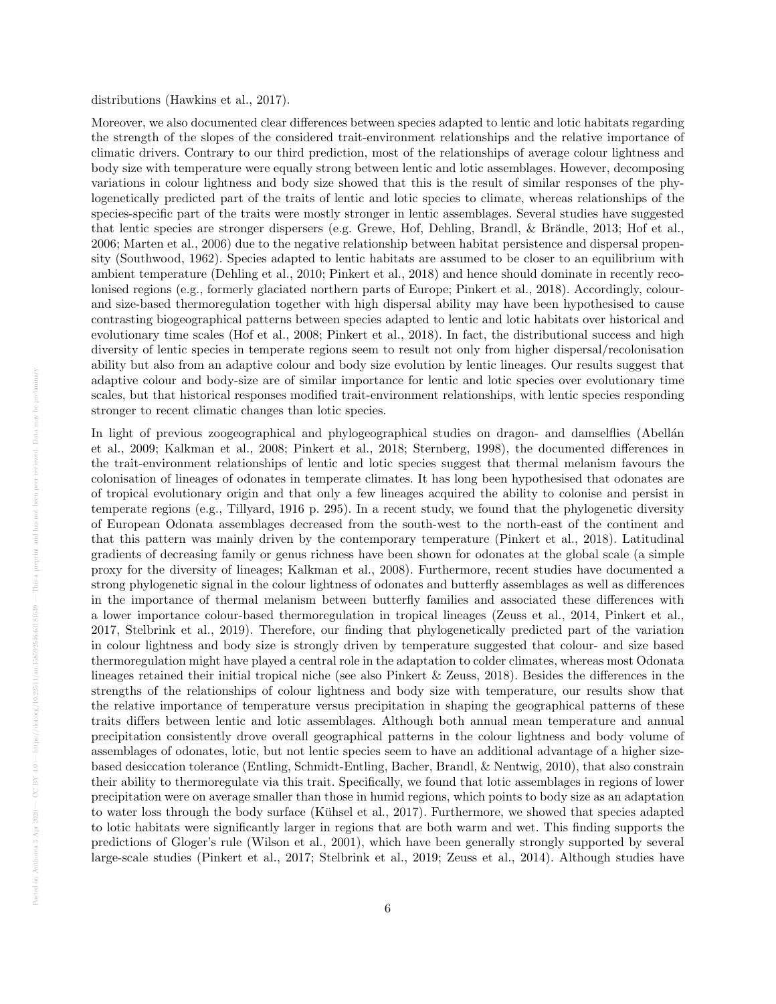#### distributions (Hawkins et al., 2017).

Moreover, we also documented clear differences between species adapted to lentic and lotic habitats regarding the strength of the slopes of the considered trait-environment relationships and the relative importance of climatic drivers. Contrary to our third prediction, most of the relationships of average colour lightness and body size with temperature were equally strong between lentic and lotic assemblages. However, decomposing variations in colour lightness and body size showed that this is the result of similar responses of the phylogenetically predicted part of the traits of lentic and lotic species to climate, whereas relationships of the species-specific part of the traits were mostly stronger in lentic assemblages. Several studies have suggested that lentic species are stronger dispersers (e.g. Grewe, Hof, Dehling, Brandl, & Brändle, 2013; Hof et al., 2006; Marten et al., 2006) due to the negative relationship between habitat persistence and dispersal propensity (Southwood, 1962). Species adapted to lentic habitats are assumed to be closer to an equilibrium with ambient temperature (Dehling et al., 2010; Pinkert et al., 2018) and hence should dominate in recently recolonised regions (e.g., formerly glaciated northern parts of Europe; Pinkert et al., 2018). Accordingly, colourand size-based thermoregulation together with high dispersal ability may have been hypothesised to cause contrasting biogeographical patterns between species adapted to lentic and lotic habitats over historical and evolutionary time scales (Hof et al., 2008; Pinkert et al., 2018). In fact, the distributional success and high diversity of lentic species in temperate regions seem to result not only from higher dispersal/recolonisation ability but also from an adaptive colour and body size evolution by lentic lineages. Our results suggest that adaptive colour and body-size are of similar importance for lentic and lotic species over evolutionary time scales, but that historical responses modified trait-environment relationships, with lentic species responding stronger to recent climatic changes than lotic species.

In light of previous zoogeographical and phylogeographical studies on dragon- and damselflies (Abellán et al., 2009; Kalkman et al., 2008; Pinkert et al., 2018; Sternberg, 1998), the documented differences in the trait-environment relationships of lentic and lotic species suggest that thermal melanism favours the colonisation of lineages of odonates in temperate climates. It has long been hypothesised that odonates are of tropical evolutionary origin and that only a few lineages acquired the ability to colonise and persist in temperate regions (e.g., Tillyard, 1916 p. 295). In a recent study, we found that the phylogenetic diversity of European Odonata assemblages decreased from the south-west to the north-east of the continent and that this pattern was mainly driven by the contemporary temperature (Pinkert et al., 2018). Latitudinal gradients of decreasing family or genus richness have been shown for odonates at the global scale (a simple proxy for the diversity of lineages; Kalkman et al., 2008). Furthermore, recent studies have documented a strong phylogenetic signal in the colour lightness of odonates and butterfly assemblages as well as differences in the importance of thermal melanism between butterfly families and associated these differences with a lower importance colour-based thermoregulation in tropical lineages (Zeuss et al., 2014, Pinkert et al., 2017, Stelbrink et al., 2019). Therefore, our finding that phylogenetically predicted part of the variation in colour lightness and body size is strongly driven by temperature suggested that colour- and size based thermoregulation might have played a central role in the adaptation to colder climates, whereas most Odonata lineages retained their initial tropical niche (see also Pinkert & Zeuss, 2018). Besides the differences in the strengths of the relationships of colour lightness and body size with temperature, our results show that the relative importance of temperature versus precipitation in shaping the geographical patterns of these traits differs between lentic and lotic assemblages. Although both annual mean temperature and annual precipitation consistently drove overall geographical patterns in the colour lightness and body volume of assemblages of odonates, lotic, but not lentic species seem to have an additional advantage of a higher sizebased desiccation tolerance (Entling, Schmidt-Entling, Bacher, Brandl, & Nentwig, 2010), that also constrain their ability to thermoregulate via this trait. Specifically, we found that lotic assemblages in regions of lower precipitation were on average smaller than those in humid regions, which points to body size as an adaptation to water loss through the body surface (Kühsel et al., 2017). Furthermore, we showed that species adapted to lotic habitats were significantly larger in regions that are both warm and wet. This finding supports the predictions of Gloger's rule (Wilson et al., 2001), which have been generally strongly supported by several large-scale studies (Pinkert et al., 2017; Stelbrink et al., 2019; Zeuss et al., 2014). Although studies have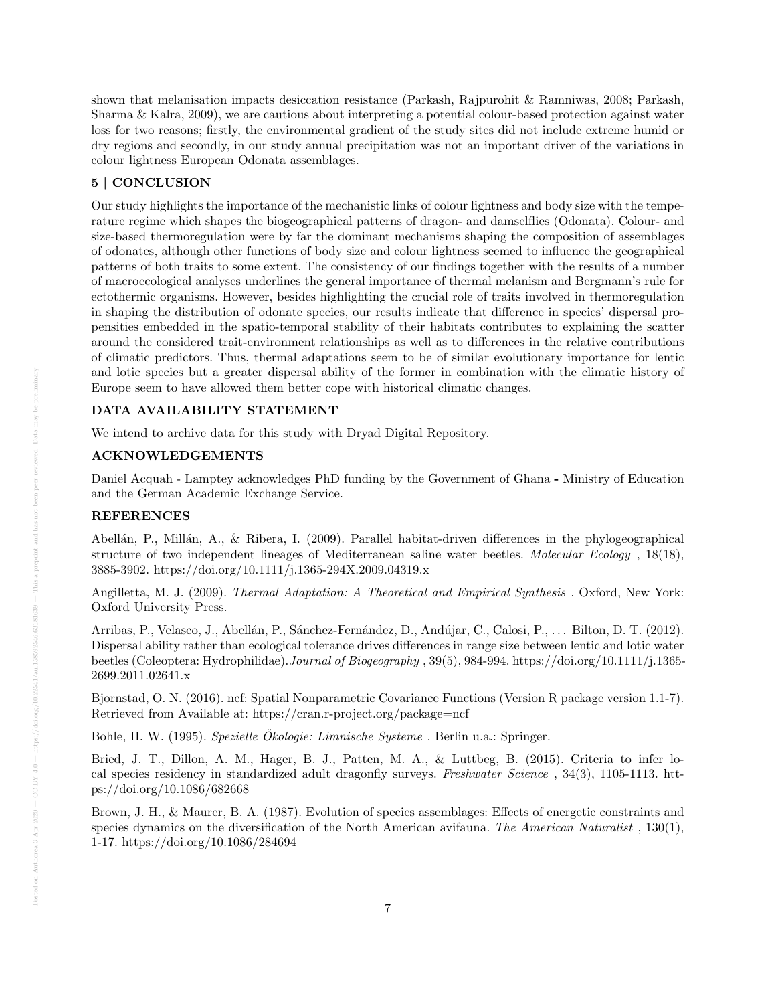shown that melanisation impacts desiccation resistance (Parkash, Rajpurohit & Ramniwas, 2008; Parkash, Sharma & Kalra, 2009), we are cautious about interpreting a potential colour-based protection against water loss for two reasons; firstly, the environmental gradient of the study sites did not include extreme humid or dry regions and secondly, in our study annual precipitation was not an important driver of the variations in colour lightness European Odonata assemblages.

# 5 | CONCLUSION

Our study highlights the importance of the mechanistic links of colour lightness and body size with the temperature regime which shapes the biogeographical patterns of dragon- and damselflies (Odonata). Colour- and size-based thermoregulation were by far the dominant mechanisms shaping the composition of assemblages of odonates, although other functions of body size and colour lightness seemed to influence the geographical patterns of both traits to some extent. The consistency of our findings together with the results of a number of macroecological analyses underlines the general importance of thermal melanism and Bergmann's rule for ectothermic organisms. However, besides highlighting the crucial role of traits involved in thermoregulation in shaping the distribution of odonate species, our results indicate that difference in species' dispersal propensities embedded in the spatio-temporal stability of their habitats contributes to explaining the scatter around the considered trait-environment relationships as well as to differences in the relative contributions of climatic predictors. Thus, thermal adaptations seem to be of similar evolutionary importance for lentic and lotic species but a greater dispersal ability of the former in combination with the climatic history of Europe seem to have allowed them better cope with historical climatic changes.

## DATA AVAILABILITY STATEMENT

We intend to archive data for this study with Dryad Digital Repository.

## ACKNOWLEDGEMENTS

Daniel Acquah - Lamptey acknowledges PhD funding by the Government of Ghana - Ministry of Education and the German Academic Exchange Service.

# REFERENCES

Abellán, P., Millán, A., & Ribera, I. (2009). Parallel habitat-driven differences in the phylogeographical structure of two independent lineages of Mediterranean saline water beetles. Molecular Ecology , 18(18), 3885-3902. https://doi.org/10.1111/j.1365-294X.2009.04319.x

Angilletta, M. J. (2009). Thermal Adaptation: A Theoretical and Empirical Synthesis . Oxford, New York: Oxford University Press.

Arribas, P., Velasco, J., Abellán, P., Sánchez-Fernández, D., Andújar, C., Calosi, P., . . . Bilton, D. T. (2012). Dispersal ability rather than ecological tolerance drives differences in range size between lentic and lotic water beetles (Coleoptera: Hydrophilidae).Journal of Biogeography , 39(5), 984-994. https://doi.org/10.1111/j.1365- 2699.2011.02641.x

Bjornstad, O. N. (2016). ncf: Spatial Nonparametric Covariance Functions (Version R package version 1.1-7). Retrieved from Available at: https://cran.r-project.org/package=ncf

Bohle, H. W. (1995). Spezielle Ökologie: Limnische Systeme. Berlin u.a.: Springer.

Bried, J. T., Dillon, A. M., Hager, B. J., Patten, M. A., & Luttbeg, B. (2015). Criteria to infer local species residency in standardized adult dragonfly surveys. Freshwater Science , 34(3), 1105-1113. https://doi.org/10.1086/682668

Brown, J. H., & Maurer, B. A. (1987). Evolution of species assemblages: Effects of energetic constraints and species dynamics on the diversification of the North American avifauna. The American Naturalist, 130(1), 1-17. https://doi.org/10.1086/284694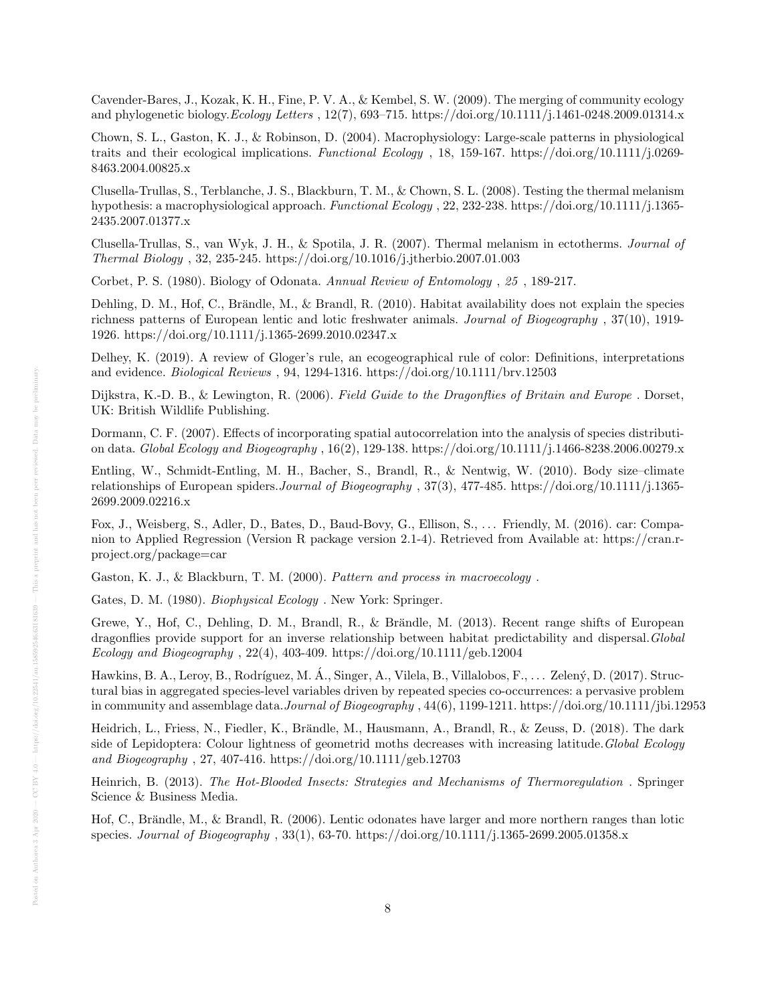Cavender-Bares, J., Kozak, K. H., Fine, P. V. A., & Kembel, S. W. (2009). The merging of community ecology and phylogenetic biology.Ecology Letters , 12(7), 693–715. https://doi.org/10.1111/j.1461-0248.2009.01314.x

Chown, S. L., Gaston, K. J., & Robinson, D. (2004). Macrophysiology: Large-scale patterns in physiological traits and their ecological implications. Functional Ecology , 18, 159-167. https://doi.org/10.1111/j.0269- 8463.2004.00825.x

Clusella-Trullas, S., Terblanche, J. S., Blackburn, T. M., & Chown, S. L. (2008). Testing the thermal melanism hypothesis: a macrophysiological approach. Functional Ecology , 22, 232-238. https://doi.org/10.1111/j.1365- 2435.2007.01377.x

Clusella-Trullas, S., van Wyk, J. H., & Spotila, J. R. (2007). Thermal melanism in ectotherms. Journal of Thermal Biology , 32, 235-245. https://doi.org/10.1016/j.jtherbio.2007.01.003

Corbet, P. S. (1980). Biology of Odonata. Annual Review of Entomology , 25 , 189-217.

Dehling, D. M., Hof, C., Brändle, M., & Brandl, R. (2010). Habitat availability does not explain the species richness patterns of European lentic and lotic freshwater animals. Journal of Biogeography , 37(10), 1919- 1926. https://doi.org/10.1111/j.1365-2699.2010.02347.x

Delhey, K. (2019). A review of Gloger's rule, an ecogeographical rule of color: Definitions, interpretations and evidence. Biological Reviews , 94, 1294-1316. https://doi.org/10.1111/brv.12503

Dijkstra, K.-D. B., & Lewington, R. (2006). Field Guide to the Dragonflies of Britain and Europe . Dorset, UK: British Wildlife Publishing.

Dormann, C. F. (2007). Effects of incorporating spatial autocorrelation into the analysis of species distribution data. Global Ecology and Biogeography , 16(2), 129-138. https://doi.org/10.1111/j.1466-8238.2006.00279.x

Entling, W., Schmidt-Entling, M. H., Bacher, S., Brandl, R., & Nentwig, W. (2010). Body size–climate relationships of European spiders.Journal of Biogeography , 37(3), 477-485. https://doi.org/10.1111/j.1365- 2699.2009.02216.x

Fox, J., Weisberg, S., Adler, D., Bates, D., Baud-Bovy, G., Ellison, S., . . . Friendly, M. (2016). car: Companion to Applied Regression (Version R package version 2.1-4). Retrieved from Available at: https://cran.rproject.org/package=car

Gaston, K. J., & Blackburn, T. M. (2000). Pattern and process in macroecology .

Gates, D. M. (1980). Biophysical Ecology . New York: Springer.

Grewe, Y., Hof, C., Dehling, D. M., Brandl, R., & Brändle, M. (2013). Recent range shifts of European dragonflies provide support for an inverse relationship between habitat predictability and dispersal.Global Ecology and Biogeography,  $22(4)$ ,  $403-409$ . https://doi.org/10.1111/geb.12004

Hawkins, B. A., Leroy, B., Rodríguez, M. Á., Singer, A., Vilela, B., Villalobos, F., . . . Zelený, D. (2017). Structural bias in aggregated species-level variables driven by repeated species co-occurrences: a pervasive problem in community and assemblage data.Journal of Biogeography , 44(6), 1199-1211. https://doi.org/10.1111/jbi.12953

Heidrich, L., Friess, N., Fiedler, K., Brändle, M., Hausmann, A., Brandl, R., & Zeuss, D. (2018). The dark side of Lepidoptera: Colour lightness of geometrid moths decreases with increasing latitude. Global Ecology and Biogeography , 27, 407-416. https://doi.org/10.1111/geb.12703

Heinrich, B. (2013). The Hot-Blooded Insects: Strategies and Mechanisms of Thermoregulation . Springer Science & Business Media.

Hof, C., Brändle, M., & Brandl, R. (2006). Lentic odonates have larger and more northern ranges than lotic species. Journal of Biogeography , 33(1), 63-70. https://doi.org/10.1111/j.1365-2699.2005.01358.x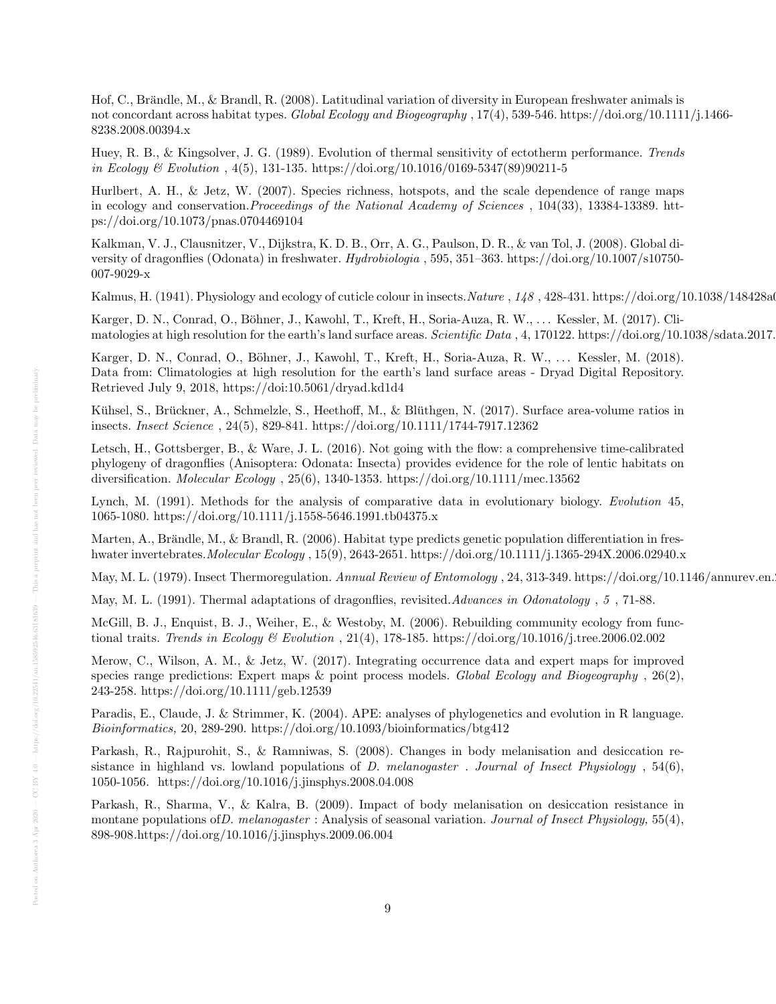Hof, C., Brändle, M., & Brandl, R. (2008). Latitudinal variation of diversity in European freshwater animals is not concordant across habitat types. Global Ecology and Biogeography , 17(4), 539-546. https://doi.org/10.1111/j.1466- 8238.2008.00394.x

Huey, R. B., & Kingsolver, J. G. (1989). Evolution of thermal sensitivity of ectotherm performance. Trends in Ecology & Evolution , 4(5), 131-135. https://doi.org/10.1016/0169-5347(89)90211-5

Hurlbert, A. H., & Jetz, W. (2007). Species richness, hotspots, and the scale dependence of range maps in ecology and conservation.Proceedings of the National Academy of Sciences , 104(33), 13384-13389. https://doi.org/10.1073/pnas.0704469104

Kalkman, V. J., Clausnitzer, V., Dijkstra, K. D. B., Orr, A. G., Paulson, D. R., & van Tol, J. (2008). Global diversity of dragonflies (Odonata) in freshwater. Hydrobiologia , 595, 351–363. https://doi.org/10.1007/s10750- 007-9029-x

Kalmus, H. (1941). Physiology and ecology of cuticle colour in insects. Nature , 148, 428-431. https://doi.org/10.1038/148428a0

Karger, D. N., Conrad, O., Böhner, J., Kawohl, T., Kreft, H., Soria-Auza, R. W., . . . Kessler, M. (2017). Climatologies at high resolution for the earth's land surface areas. Scientific Data, 4, 170122. https://doi.org/10.1038/sdata.2017.

Karger, D. N., Conrad, O., Böhner, J., Kawohl, T., Kreft, H., Soria-Auza, R. W., ... Kessler, M. (2018). Data from: Climatologies at high resolution for the earth's land surface areas - Dryad Digital Repository. Retrieved July 9, 2018, https://doi:10.5061/dryad.kd1d4

Kühsel, S., Brückner, A., Schmelzle, S., Heethoff, M., & Blüthgen, N. (2017). Surface area-volume ratios in insects. Insect Science , 24(5), 829-841. https://doi.org/10.1111/1744-7917.12362

Letsch, H., Gottsberger, B., & Ware, J. L. (2016). Not going with the flow: a comprehensive time-calibrated phylogeny of dragonflies (Anisoptera: Odonata: Insecta) provides evidence for the role of lentic habitats on diversification. Molecular Ecology , 25(6), 1340-1353. https://doi.org/10.1111/mec.13562

Lynch, M. (1991). Methods for the analysis of comparative data in evolutionary biology. Evolution 45, 1065-1080. https://doi.org/10.1111/j.1558-5646.1991.tb04375.x

Marten, A., Brändle, M., & Brandl, R. (2006). Habitat type predicts genetic population differentiation in freshwater invertebrates.Molecular Ecology , 15(9), 2643-2651. https://doi.org/10.1111/j.1365-294X.2006.02940.x

May, M. L. (1979). Insect Thermoregulation. Annual Review of Entomology , 24, 313-349. https://doi.org/10.1146/annurev.en.

May, M. L. (1991). Thermal adaptations of dragonflies, revisited. Advances in Odonatology, 5, 71-88.

McGill, B. J., Enquist, B. J., Weiher, E., & Westoby, M. (2006). Rebuilding community ecology from functional traits. Trends in Ecology & Evolution , 21(4), 178-185. https://doi.org/10.1016/j.tree.2006.02.002

Merow, C., Wilson, A. M., & Jetz, W. (2017). Integrating occurrence data and expert maps for improved species range predictions: Expert maps  $\&$  point process models. Global Ecology and Biogeography, 26(2), 243-258. https://doi.org/10.1111/geb.12539

Paradis, E., Claude, J. & Strimmer, K. (2004). APE: analyses of phylogenetics and evolution in R language. Bioinformatics, 20, 289-290. https://doi.org/10.1093/bioinformatics/btg412

Parkash, R., Rajpurohit, S., & Ramniwas, S. (2008). Changes in body melanisation and desiccation resistance in highland vs. lowland populations of D. melanogaster . Journal of Insect Physiology ,  $54(6)$ , 1050-1056. https://doi.org/10.1016/j.jinsphys.2008.04.008

Parkash, R., Sharma, V., & Kalra, B. (2009). Impact of body melanisation on desiccation resistance in montane populations of D. melanogaster : Analysis of seasonal variation. Journal of Insect Physiology, 55(4), 898-908.https://doi.org/10.1016/j.jinsphys.2009.06.004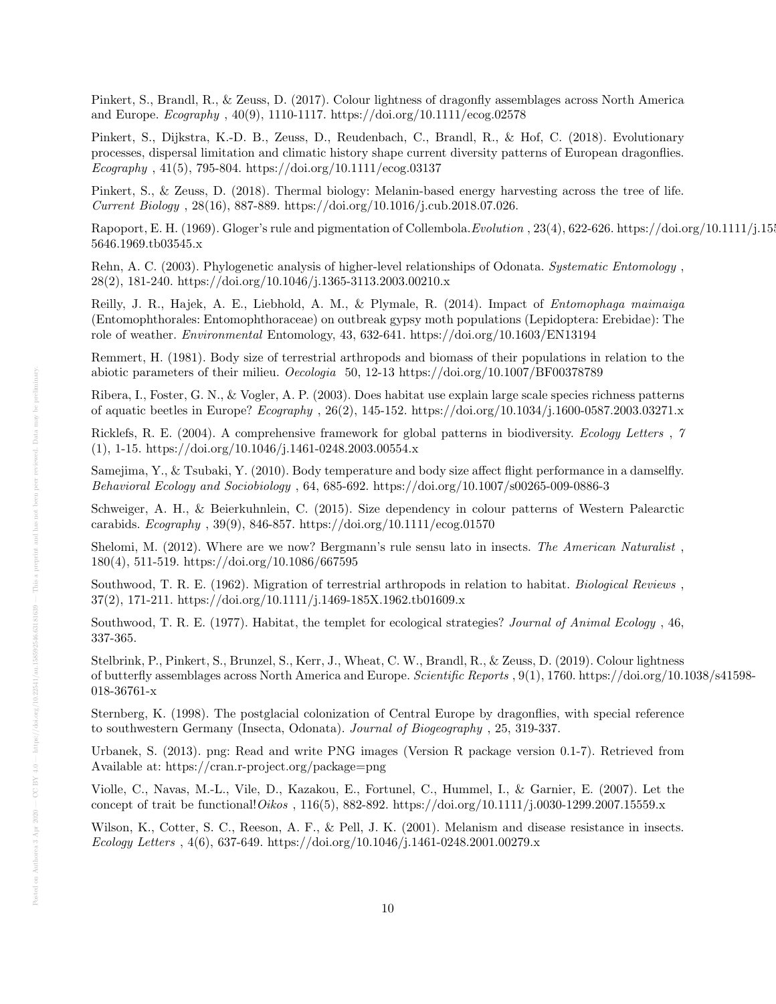Pinkert, S., Brandl, R., & Zeuss, D. (2017). Colour lightness of dragonfly assemblages across North America and Europe. Ecography , 40(9), 1110-1117. https://doi.org/10.1111/ecog.02578

Pinkert, S., Dijkstra, K.-D. B., Zeuss, D., Reudenbach, C., Brandl, R., & Hof, C. (2018). Evolutionary processes, dispersal limitation and climatic history shape current diversity patterns of European dragonflies.  $Ecography$ , 41(5), 795-804. https://doi.org/10.1111/ecog.03137

Pinkert, S., & Zeuss, D. (2018). Thermal biology: Melanin-based energy harvesting across the tree of life. Current Biology , 28(16), 887-889. https://doi.org/10.1016/j.cub.2018.07.026.

Rapoport, E. H. (1969). Gloger's rule and pigmentation of Collembola. Evolution, 23(4), 622-626. https://doi.org/10.1111/j.155 5646.1969.tb03545.x

Rehn, A. C. (2003). Phylogenetic analysis of higher-level relationships of Odonata. Systematic Entomology , 28(2), 181-240. https://doi.org/10.1046/j.1365-3113.2003.00210.x

Reilly, J. R., Hajek, A. E., Liebhold, A. M., & Plymale, R. (2014). Impact of Entomophaga maimaiga (Entomophthorales: Entomophthoraceae) on outbreak gypsy moth populations (Lepidoptera: Erebidae): The role of weather. Environmental Entomology, 43, 632-641. https://doi.org/10.1603/EN13194

Remmert, H. (1981). Body size of terrestrial arthropods and biomass of their populations in relation to the abiotic parameters of their milieu. Oecologia 50, 12-13 https://doi.org/10.1007/BF00378789

Ribera, I., Foster, G. N., & Vogler, A. P. (2003). Does habitat use explain large scale species richness patterns of aquatic beetles in Europe? Ecography , 26(2), 145-152. https://doi.org/10.1034/j.1600-0587.2003.03271.x

Ricklefs, R. E. (2004). A comprehensive framework for global patterns in biodiversity. Ecology Letters, 7 (1), 1-15. https://doi.org/10.1046/j.1461-0248.2003.00554.x

Samejima, Y., & Tsubaki, Y. (2010). Body temperature and body size affect flight performance in a damselfly. Behavioral Ecology and Sociobiology , 64, 685-692. https://doi.org/10.1007/s00265-009-0886-3

Schweiger, A. H., & Beierkuhnlein, C. (2015). Size dependency in colour patterns of Western Palearctic carabids. Ecography , 39(9), 846-857. https://doi.org/10.1111/ecog.01570

Shelomi, M. (2012). Where are we now? Bergmann's rule sensu lato in insects. The American Naturalist , 180(4), 511-519. https://doi.org/10.1086/667595

Southwood, T. R. E. (1962). Migration of terrestrial arthropods in relation to habitat. Biological Reviews , 37(2), 171-211. https://doi.org/10.1111/j.1469-185X.1962.tb01609.x

Southwood, T. R. E. (1977). Habitat, the templet for ecological strategies? Journal of Animal Ecology , 46, 337-365.

Stelbrink, P., Pinkert, S., Brunzel, S., Kerr, J., Wheat, C. W., Brandl, R., & Zeuss, D. (2019). Colour lightness of butterfly assemblages across North America and Europe. Scientific Reports , 9(1), 1760. https://doi.org/10.1038/s41598- 018-36761-x

Sternberg, K. (1998). The postglacial colonization of Central Europe by dragonflies, with special reference to southwestern Germany (Insecta, Odonata). Journal of Biogeography , 25, 319-337.

Urbanek, S. (2013). png: Read and write PNG images (Version R package version 0.1-7). Retrieved from Available at: https://cran.r-project.org/package=png

Violle, C., Navas, M.-L., Vile, D., Kazakou, E., Fortunel, C., Hummel, I., & Garnier, E. (2007). Let the concept of trait be functional! Oikos, 116(5), 882-892. https://doi.org/10.1111/j.0030-1299.2007.15559.x

Wilson, K., Cotter, S. C., Reeson, A. F., & Pell, J. K. (2001). Melanism and disease resistance in insects. Ecology Letters ,  $4(6)$ , 637-649. https://doi.org/10.1046/j.1461-0248.2001.00279.x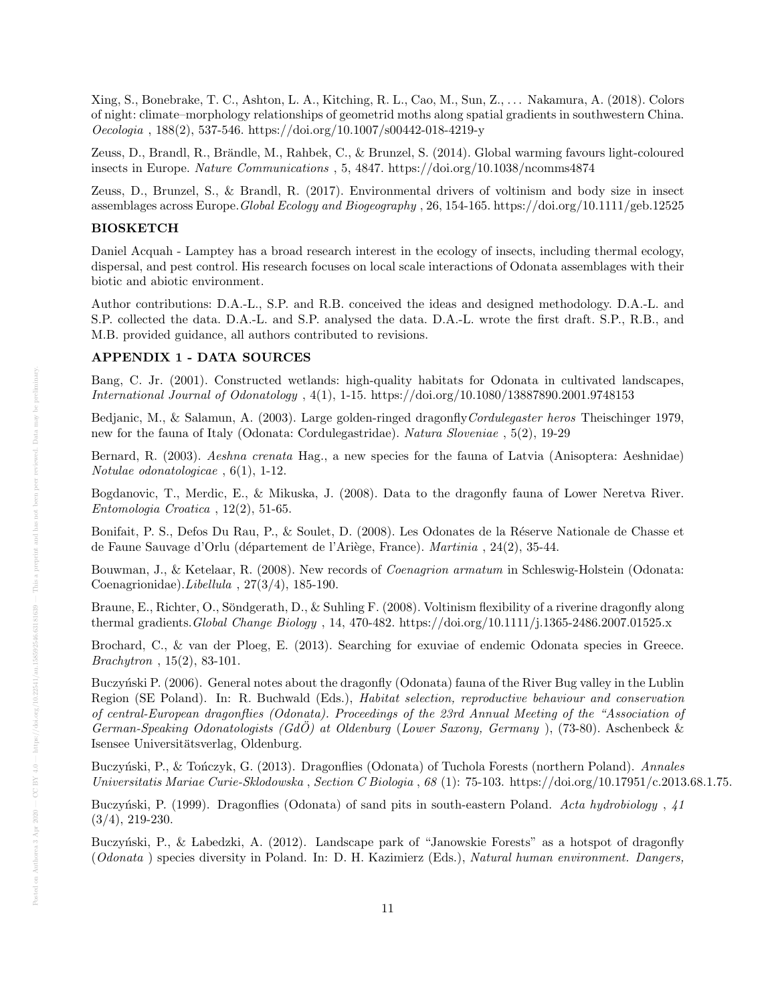Xing, S., Bonebrake, T. C., Ashton, L. A., Kitching, R. L., Cao, M., Sun, Z., . . . Nakamura, A. (2018). Colors of night: climate–morphology relationships of geometrid moths along spatial gradients in southwestern China.  $Oecologia$ , 188(2), 537-546. https://doi.org/10.1007/s00442-018-4219-y

Zeuss, D., Brandl, R., Brändle, M., Rahbek, C., & Brunzel, S. (2014). Global warming favours light-coloured insects in Europe. Nature Communications , 5, 4847. https://doi.org/10.1038/ncomms4874

Zeuss, D., Brunzel, S., & Brandl, R. (2017). Environmental drivers of voltinism and body size in insect assemblages across Europe.Global Ecology and Biogeography , 26, 154-165. https://doi.org/10.1111/geb.12525

# BIOSKETCH

Daniel Acquah - Lamptey has a broad research interest in the ecology of insects, including thermal ecology, dispersal, and pest control. His research focuses on local scale interactions of Odonata assemblages with their biotic and abiotic environment.

Author contributions: D.A.-L., S.P. and R.B. conceived the ideas and designed methodology. D.A.-L. and S.P. collected the data. D.A.-L. and S.P. analysed the data. D.A.-L. wrote the first draft. S.P., R.B., and M.B. provided guidance, all authors contributed to revisions.

#### APPENDIX 1 - DATA SOURCES

Bang, C. Jr. (2001). Constructed wetlands: high-quality habitats for Odonata in cultivated landscapes, International Journal of Odonatology , 4(1), 1-15. https://doi.org/10.1080/13887890.2001.9748153

Bedjanic, M., & Salamun, A. (2003). Large golden-ringed dragonflyCordulegaster heros Theischinger 1979, new for the fauna of Italy (Odonata: Cordulegastridae). Natura Sloveniae , 5(2), 19-29

Bernard, R. (2003). Aeshna crenata Hag., a new species for the fauna of Latvia (Anisoptera: Aeshnidae) Notulae odonatologicae , 6(1), 1-12.

Bogdanovic, T., Merdic, E., & Mikuska, J. (2008). Data to the dragonfly fauna of Lower Neretva River. Entomologia Croatica , 12(2), 51-65.

Bonifait, P. S., Defos Du Rau, P., & Soulet, D. (2008). Les Odonates de la Réserve Nationale de Chasse et de Faune Sauvage d'Orlu (département de l'Ariège, France). Martinia , 24(2), 35-44.

Bouwman, J., & Ketelaar, R. (2008). New records of Coenagrion armatum in Schleswig-Holstein (Odonata: Coenagrionidae).Libellula , 27(3/4), 185-190.

Braune, E., Richter, O., Söndgerath, D., & Suhling F. (2008). Voltinism flexibility of a riverine dragonfly along thermal gradients.Global Change Biology , 14, 470-482. https://doi.org/10.1111/j.1365-2486.2007.01525.x

Brochard, C., & van der Ploeg, E. (2013). Searching for exuviae of endemic Odonata species in Greece. Brachytron , 15(2), 83-101.

Buczyński P. (2006). General notes about the dragonfly (Odonata) fauna of the River Bug valley in the Lublin Region (SE Poland). In: R. Buchwald (Eds.), Habitat selection, reproductive behaviour and conservation of central-European dragonflies (Odonata). Proceedings of the 23rd Annual Meeting of the "Association of German-Speaking Odonatologists (GdO) at Oldenburg (Lower Saxony, Germany), (73-80). Aschenbeck & Isensee Universitätsverlag, Oldenburg.

Buczyński, P., & Tończyk, G. (2013). Dragonflies (Odonata) of Tuchola Forests (northern Poland). Annales Universitatis Mariae Curie-Sklodowska , Section C Biologia , 68 (1): 75-103. https://doi.org/10.17951/c.2013.68.1.75.

Buczyński, P. (1999). Dragonflies (Odonata) of sand pits in south-eastern Poland. Acta hydrobiology, 41 (3/4), 219-230.

Buczyński, P., & Labedzki, A. (2012). Landscape park of "Janowskie Forests" as a hotspot of dragonfly (Odonata ) species diversity in Poland. In: D. H. Kazimierz (Eds.), Natural human environment. Dangers,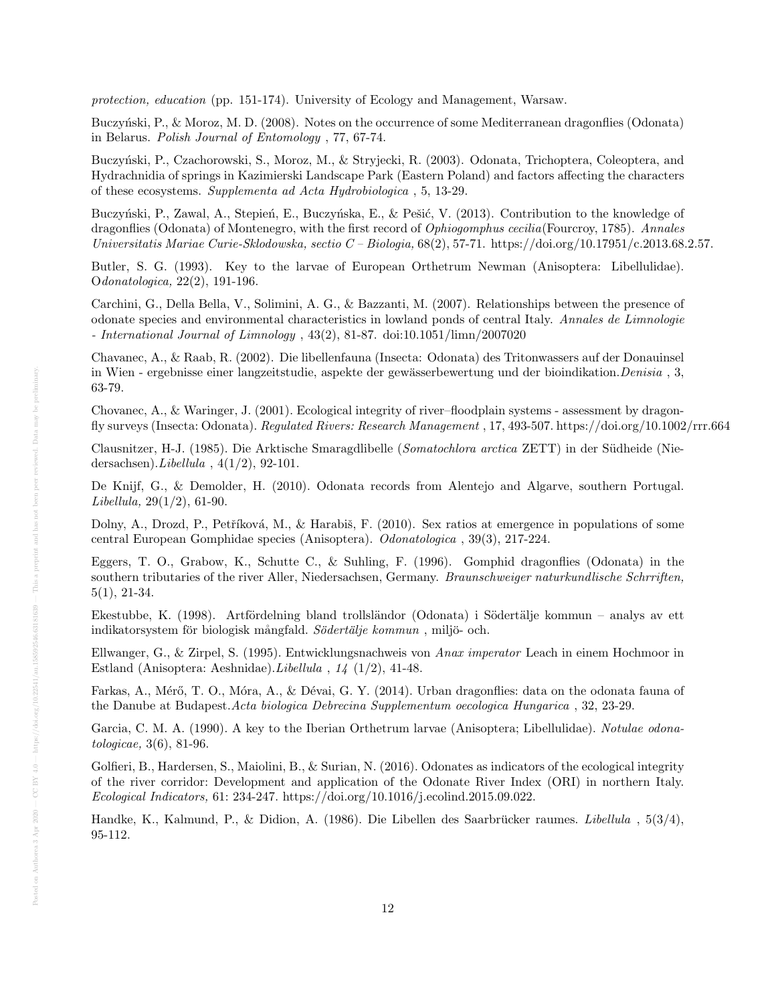protection, education (pp. 151-174). University of Ecology and Management, Warsaw.

Buczyński, P., & Moroz, M. D. (2008). Notes on the occurrence of some Mediterranean dragonflies (Odonata) in Belarus. Polish Journal of Entomology , 77, 67-74.

Buczyński, P., Czachorowski, S., Moroz, M., & Stryjecki, R. (2003). Odonata, Trichoptera, Coleoptera, and Hydrachnidia of springs in Kazimierski Landscape Park (Eastern Poland) and factors affecting the characters of these ecosystems. Supplementa ad Acta Hydrobiologica , 5, 13-29.

Buczyński, P., Zawal, A., Stepień, E., Buczyńska, E., & Pešić, V. (2013). Contribution to the knowledge of dragonflies (Odonata) of Montenegro, with the first record of Ophiogomphus cecilia(Fourcroy, 1785). Annales Universitatis Mariae Curie-Sklodowska, sectio  $C$  – Biologia,  $68(2)$ , 57-71. https://doi.org/10.17951/c.2013.68.2.57.

Butler, S. G. (1993). Key to the larvae of European Orthetrum Newman (Anisoptera: Libellulidae). Odonatologica, 22(2), 191-196.

Carchini, G., Della Bella, V., Solimini, A. G., & Bazzanti, M. (2007). Relationships between the presence of odonate species and environmental characteristics in lowland ponds of central Italy. Annales de Limnologie - International Journal of Limnology , 43(2), 81-87. doi:10.1051/limn/2007020

Chavanec, A., & Raab, R. (2002). Die libellenfauna (Insecta: Odonata) des Tritonwassers auf der Donauinsel in Wien - ergebnisse einer langzeitstudie, aspekte der gewässerbewertung und der bioindikation. Denisia, 3, 63-79.

Chovanec, A., & Waringer, J. (2001). Ecological integrity of river–floodplain systems - assessment by dragonfly surveys (Insecta: Odonata). Regulated Rivers: Research Management , 17, 493-507. https://doi.org/10.1002/rrr.664

Clausnitzer, H-J. (1985). Die Arktische Smaragdlibelle (Somatochlora arctica ZETT) in der Sudheide (Nie- ¨ dersachsen). $Libellula$ ,  $4(1/2)$ , 92-101.

De Knijf, G., & Demolder, H. (2010). Odonata records from Alentejo and Algarve, southern Portugal.  $Libellula, 29(1/2), 61-90.$ 

Dolny, A., Drozd, P., Petříková, M., & Harabiš, F. (2010). Sex ratios at emergence in populations of some central European Gomphidae species (Anisoptera). Odonatologica , 39(3), 217-224.

Eggers, T. O., Grabow, K., Schutte C., & Suhling, F. (1996). Gomphid dragonflies (Odonata) in the southern tributaries of the river Aller, Niedersachsen, Germany. Braunschweiger naturkundlische Schrriften, 5(1), 21-34.

Ekestubbe, K. (1998). Artfördelning bland trollsländor (Odonata) i Södertälje kommun – analys av ett indikatorsystem för biologisk mångfald. Södertälje kommun, miljö- och.

Ellwanger, G., & Zirpel, S. (1995). Entwicklungsnachweis von Anax imperator Leach in einem Hochmoor in Estland (Anisoptera: Aeshnidae).Libellula , 14 (1/2), 41-48.

Farkas, A., Mérő, T. O., Móra, A., & Dévai, G. Y. (2014). Urban dragonflies: data on the odonata fauna of the Danube at Budapest.Acta biologica Debrecina Supplementum oecologica Hungarica , 32, 23-29.

Garcia, C. M. A. (1990). A key to the Iberian Orthetrum larvae (Anisoptera; Libellulidae). Notulae odonatologicae, 3(6), 81-96.

Golfieri, B., Hardersen, S., Maiolini, B., & Surian, N. (2016). Odonates as indicators of the ecological integrity of the river corridor: Development and application of the Odonate River Index (ORI) in northern Italy. Ecological Indicators, 61: 234-247. https://doi.org/10.1016/j.ecolind.2015.09.022.

Handke, K., Kalmund, P., & Didion, A. (1986). Die Libellen des Saarbrücker raumes. *Libellula*,  $5(3/4)$ , 95-112.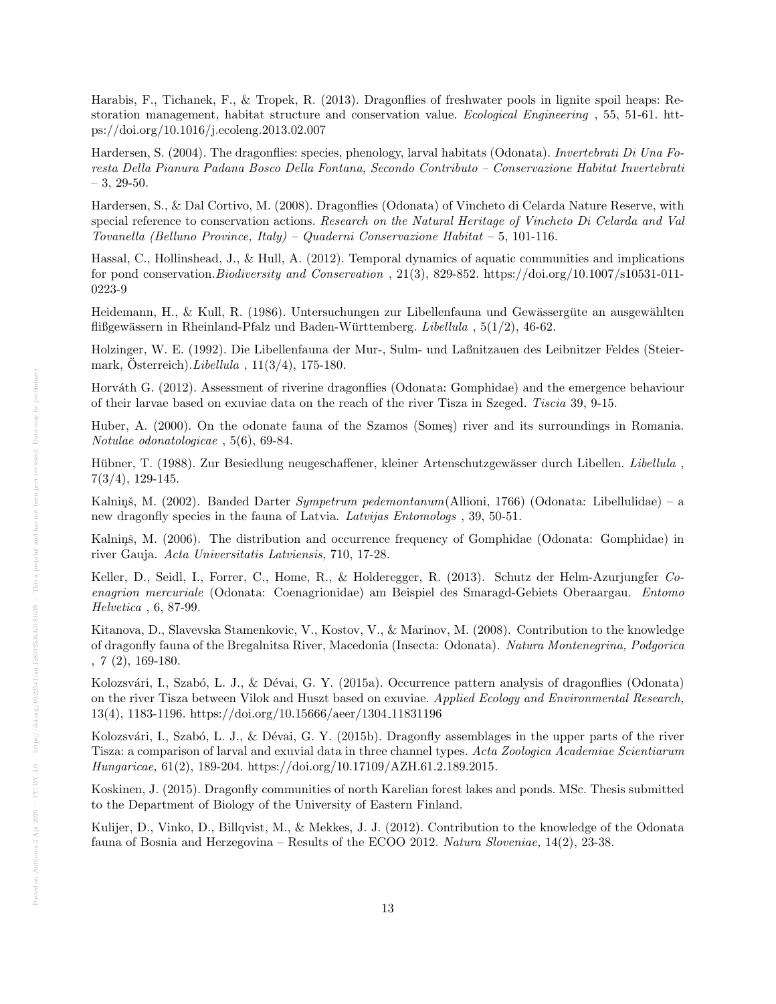Harabis, F., Tichanek, F., & Tropek, R. (2013). Dragonflies of freshwater pools in lignite spoil heaps: Restoration management, habitat structure and conservation value. Ecological Engineering , 55, 51-61. https://doi.org/10.1016/j.ecoleng.2013.02.007

Hardersen, S. (2004). The dragonflies: species, phenology, larval habitats (Odonata). Invertebrati Di Una Foresta Della Pianura Padana Bosco Della Fontana, Secondo Contributo – Conservazione Habitat Invertebrati  $-3, 29-50.$ 

Hardersen, S., & Dal Cortivo, M. (2008). Dragonflies (Odonata) of Vincheto di Celarda Nature Reserve, with special reference to conservation actions. Research on the Natural Heritage of Vincheto Di Celarda and Val Tovanella (Belluno Province, Italy) – Quaderni Conservazione Habitat – 5, 101-116.

Hassal, C., Hollinshead, J., & Hull, A. (2012). Temporal dynamics of aquatic communities and implications for pond conservation.Biodiversity and Conservation , 21(3), 829-852. https://doi.org/10.1007/s10531-011- 0223-9

Heidemann, H., & Kull, R. (1986). Untersuchungen zur Libellenfauna und Gewässergüte an ausgewählten flißgewässern in Rheinland-Pfalz und Baden-Württemberg. Libellula ,  $5(1/2)$ , 46-62.

Holzinger, W. E. (1992). Die Libellenfauna der Mur-, Sulm- und Laßnitzauen des Leibnitzer Feldes (Steiermark, Österreich).  $Libellula$ ,  $11(3/4)$ , 175-180.

Horváth G. (2012). Assessment of riverine dragonflies (Odonata: Gomphidae) and the emergence behaviour of their larvae based on exuviae data on the reach of the river Tisza in Szeged. Tiscia 39, 9-15.

Huber, A. (2000). On the odonate fauna of the Szamos (Somes) river and its surroundings in Romania. Notulae odonatologicae , 5(6), 69-84.

Hübner, T. (1988). Zur Besiedlung neugeschaffener, kleiner Artenschutzgewässer durch Libellen. Libellula, 7(3/4), 129-145.

Kalniņš, M. (2002). Banded Darter Sympetrum pedemontanum (Allioni, 1766) (Odonata: Libellulidae) – a new dragonfly species in the fauna of Latvia. Latvijas Entomologs , 39, 50-51.

Kalnins̆, M. (2006). The distribution and occurrence frequency of Gomphidae (Odonata: Gomphidae) in river Gauja. Acta Universitatis Latviensis, 710, 17-28.

Keller, D., Seidl, I., Forrer, C., Home, R., & Holderegger, R. (2013). Schutz der Helm-Azurjungfer Coenagrion mercuriale (Odonata: Coenagrionidae) am Beispiel des Smaragd-Gebiets Oberaargau. Entomo Helvetica , 6, 87-99.

Kitanova, D., Slavevska Stamenkovic, V., Kostov, V., & Marinov, M. (2008). Contribution to the knowledge of dragonfly fauna of the Bregalnitsa River, Macedonia (Insecta: Odonata). Natura Montenegrina, Podgorica , 7 (2), 169-180.

Kolozsvári, I., Szabó, L. J., & Dévai, G. Y. (2015a). Occurrence pattern analysis of dragonflies (Odonata) on the river Tisza between Vilok and Huszt based on exuviae. Applied Ecology and Environmental Research, 13(4), 1183-1196. https://doi.org/10.15666/aeer/1304 11831196

Kolozsvári, I., Szabó, L. J., & Dévai, G. Y. (2015b). Dragonfly assemblages in the upper parts of the river Tisza: a comparison of larval and exuvial data in three channel types. Acta Zoologica Academiae Scientiarum Hungaricae, 61(2), 189-204. https://doi.org/10.17109/AZH.61.2.189.2015.

Koskinen, J. (2015). Dragonfly communities of north Karelian forest lakes and ponds. MSc. Thesis submitted to the Department of Biology of the University of Eastern Finland.

Kulijer, D., Vinko, D., Billqvist, M., & Mekkes, J. J. (2012). Contribution to the knowledge of the Odonata fauna of Bosnia and Herzegovina – Results of the ECOO 2012. Natura Sloveniae, 14(2), 23-38.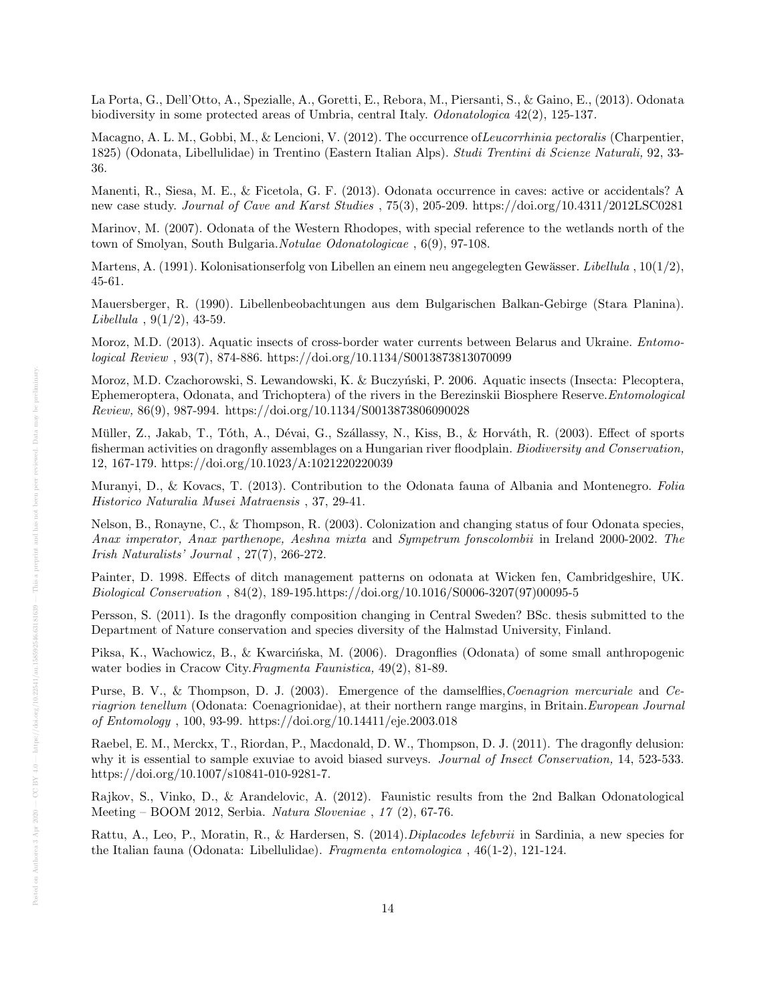La Porta, G., Dell'Otto, A., Spezialle, A., Goretti, E., Rebora, M., Piersanti, S., & Gaino, E., (2013). Odonata biodiversity in some protected areas of Umbria, central Italy. Odonatologica 42(2), 125-137.

Macagno, A. L. M., Gobbi, M., & Lencioni, V. (2012). The occurrence of Leucorrhinia pectoralis (Charpentier, 1825) (Odonata, Libellulidae) in Trentino (Eastern Italian Alps). Studi Trentini di Scienze Naturali, 92, 33- 36.

Manenti, R., Siesa, M. E., & Ficetola, G. F. (2013). Odonata occurrence in caves: active or accidentals? A new case study. Journal of Cave and Karst Studies , 75(3), 205-209. https://doi.org/10.4311/2012LSC0281

Marinov, M. (2007). Odonata of the Western Rhodopes, with special reference to the wetlands north of the town of Smolyan, South Bulgaria.Notulae Odonatologicae , 6(9), 97-108.

Martens, A. (1991). Kolonisationserfolg von Libellen an einem neu angegelegten Gewässer. Libellula ,  $10(1/2)$ , 45-61.

Mauersberger, R. (1990). Libellenbeobachtungen aus dem Bulgarischen Balkan-Gebirge (Stara Planina).  $Libellula$ ,  $9(1/2)$ , 43-59.

Moroz, M.D. (2013). Aquatic insects of cross-border water currents between Belarus and Ukraine. Entomological Review , 93(7), 874-886. https://doi.org/10.1134/S0013873813070099

Moroz, M.D. Czachorowski, S. Lewandowski, K. & Buczyński, P. 2006. Aquatic insects (Insecta: Plecoptera, Ephemeroptera, Odonata, and Trichoptera) of the rivers in the Berezinskii Biosphere Reserve.Entomological Review, 86(9), 987-994. https://doi.org/10.1134/S0013873806090028

Müller, Z., Jakab, T., Tóth, A., Dévai, G., Szállassy, N., Kiss, B., & Horváth, R. (2003). Effect of sports fisherman activities on dragonfly assemblages on a Hungarian river floodplain. Biodiversity and Conservation, 12, 167-179. https://doi.org/10.1023/A:1021220220039

Muranyi, D., & Kovacs, T. (2013). Contribution to the Odonata fauna of Albania and Montenegro. Folia Historico Naturalia Musei Matraensis , 37, 29-41.

Nelson, B., Ronayne, C., & Thompson, R. (2003). Colonization and changing status of four Odonata species, Anax imperator, Anax parthenope, Aeshna mixta and Sympetrum fonscolombii in Ireland 2000-2002. The Irish Naturalists' Journal , 27(7), 266-272.

Painter, D. 1998. Effects of ditch management patterns on odonata at Wicken fen, Cambridgeshire, UK. Biological Conservation , 84(2), 189-195.https://doi.org/10.1016/S0006-3207(97)00095-5

Persson, S. (2011). Is the dragonfly composition changing in Central Sweden? BSc. thesis submitted to the Department of Nature conservation and species diversity of the Halmstad University, Finland.

Piksa, K., Wachowicz, B., & Kwarcińska, M. (2006). Dragonflies (Odonata) of some small anthropogenic water bodies in Cracow City.Fragmenta Faunistica, 49(2), 81-89.

Purse, B. V., & Thompson, D. J. (2003). Emergence of the damselflies, Coenagrion mercuriale and Ceriagrion tenellum (Odonata: Coenagrionidae), at their northern range margins, in Britain.European Journal of Entomology , 100, 93-99. https://doi.org/10.14411/eje.2003.018

Raebel, E. M., Merckx, T., Riordan, P., Macdonald, D. W., Thompson, D. J. (2011). The dragonfly delusion: why it is essential to sample exuviae to avoid biased surveys. Journal of Insect Conservation, 14, 523-533. https://doi.org/10.1007/s10841-010-9281-7.

Rajkov, S., Vinko, D., & Arandelovic, A. (2012). Faunistic results from the 2nd Balkan Odonatological Meeting – BOOM 2012, Serbia. Natura Sloveniae , 17 (2), 67-76.

Rattu, A., Leo, P., Moratin, R., & Hardersen, S. (2014).Diplacodes lefebvrii in Sardinia, a new species for the Italian fauna (Odonata: Libellulidae). Fragmenta entomologica , 46(1-2), 121-124.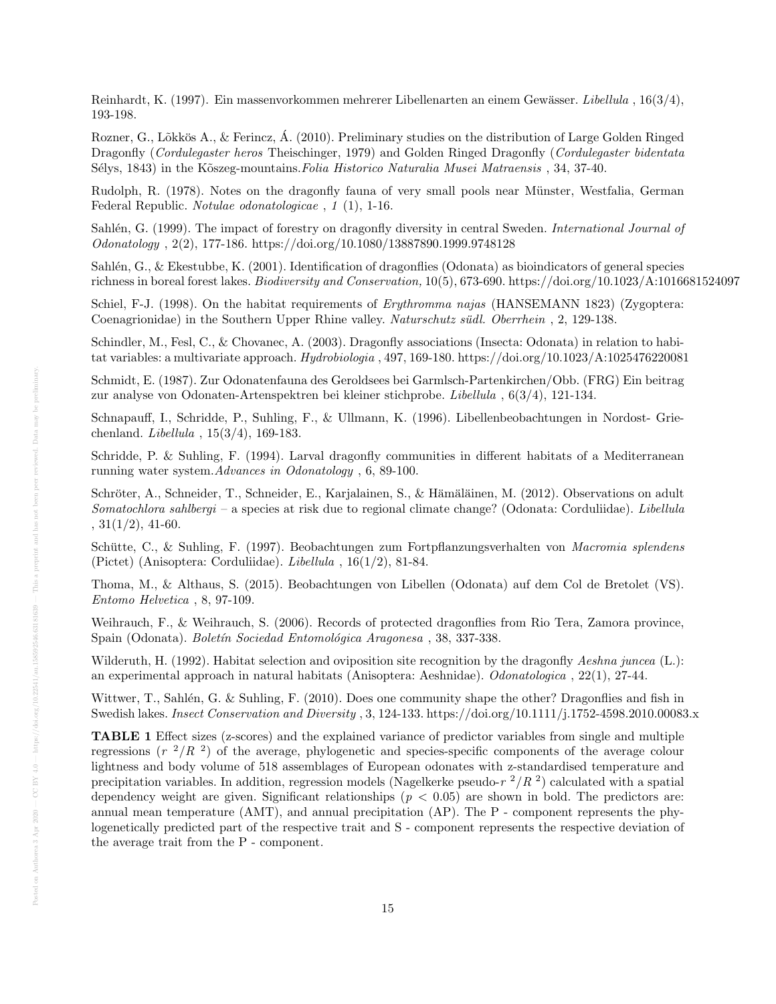Reinhardt, K. (1997). Ein massenvorkommen mehrerer Libellenarten an einem Gewässer. Libellula , 16(3/4), 193-198.

Rozner, G., Lõkkös A., & Ferincz, Á. (2010). Preliminary studies on the distribution of Large Golden Ringed Dragonfly (Cordulegaster heros Theischinger, 1979) and Golden Ringed Dragonfly (Cordulegaster bidentata Sélys, 1843) in the Kõszeg-mountains. Folia Historico Naturalia Musei Matraensis , 34, 37-40.

Rudolph, R. (1978). Notes on the dragonfly fauna of very small pools near Munster, Westfalia, German ¨ Federal Republic. Notulae odonatologicae , 1 (1), 1-16.

Sahlén, G. (1999). The impact of forestry on dragonfly diversity in central Sweden. International Journal of Odonatology , 2(2), 177-186. https://doi.org/10.1080/13887890.1999.9748128

Sahlén, G., & Ekestubbe, K. (2001). Identification of dragonflies (Odonata) as bioindicators of general species richness in boreal forest lakes. Biodiversity and Conservation, 10(5), 673-690. https://doi.org/10.1023/A:1016681524097

Schiel, F-J. (1998). On the habitat requirements of *Erythromma najas* (HANSEMANN 1823) (Zygoptera: Coenagrionidae) in the Southern Upper Rhine valley. Naturschutz südl. Oberrhein, 2, 129-138.

Schindler, M., Fesl, C., & Chovanec, A. (2003). Dragonfly associations (Insecta: Odonata) in relation to habitat variables: a multivariate approach. Hydrobiologia , 497, 169-180. https://doi.org/10.1023/A:1025476220081

Schmidt, E. (1987). Zur Odonatenfauna des Geroldsees bei Garmlsch-Partenkirchen/Obb. (FRG) Ein beitrag zur analyse von Odonaten-Artenspektren bei kleiner stichprobe. Libellula , 6(3/4), 121-134.

Schnapauff, I., Schridde, P., Suhling, F., & Ullmann, K. (1996). Libellenbeobachtungen in Nordost- Griechenland. Libellula , 15(3/4), 169-183.

Schridde, P. & Suhling, F. (1994). Larval dragonfly communities in different habitats of a Mediterranean running water system.Advances in Odonatology , 6, 89-100.

Schröter, A., Schneider, T., Schneider, E., Karjalainen, S., & Hämäläinen, M. (2012). Observations on adult Somatochlora sahlbergi – a species at risk due to regional climate change? (Odonata: Corduliidae). Libellula  $, 31(1/2), 41-60.$ 

Schütte, C., & Suhling, F. (1997). Beobachtungen zum Fortpflanzungsverhalten von Macromia splendens (Pictet) (Anisoptera: Corduliidae). Libellula , 16(1/2), 81-84.

Thoma, M., & Althaus, S. (2015). Beobachtungen von Libellen (Odonata) auf dem Col de Bretolet (VS). Entomo Helvetica , 8, 97-109.

Weihrauch, F., & Weihrauch, S. (2006). Records of protected dragonflies from Rio Tera, Zamora province, Spain (Odonata). Boletín Sociedad Entomológica Aragonesa , 38, 337-338.

Wilderuth, H. (1992). Habitat selection and oviposition site recognition by the dragonfly Aeshna juncea (L.): an experimental approach in natural habitats (Anisoptera: Aeshnidae). Odonatologica , 22(1), 27-44.

Wittwer, T., Sahlén, G. & Suhling, F. (2010). Does one community shape the other? Dragonflies and fish in Swedish lakes. Insect Conservation and Diversity , 3, 124-133. https://doi.org/10.1111/j.1752-4598.2010.00083.x

TABLE 1 Effect sizes (z-scores) and the explained variance of predictor variables from single and multiple regressions ( $r^2/R^2$ ) of the average, phylogenetic and species-specific components of the average colour lightness and body volume of 518 assemblages of European odonates with z-standardised temperature and precipitation variables. In addition, regression models (Nagelkerke pseudo- $r^{2}/R^{2}$ ) calculated with a spatial dependency weight are given. Significant relationships ( $p < 0.05$ ) are shown in bold. The predictors are: annual mean temperature (AMT), and annual precipitation (AP). The P - component represents the phylogenetically predicted part of the respective trait and S - component represents the respective deviation of the average trait from the P - component.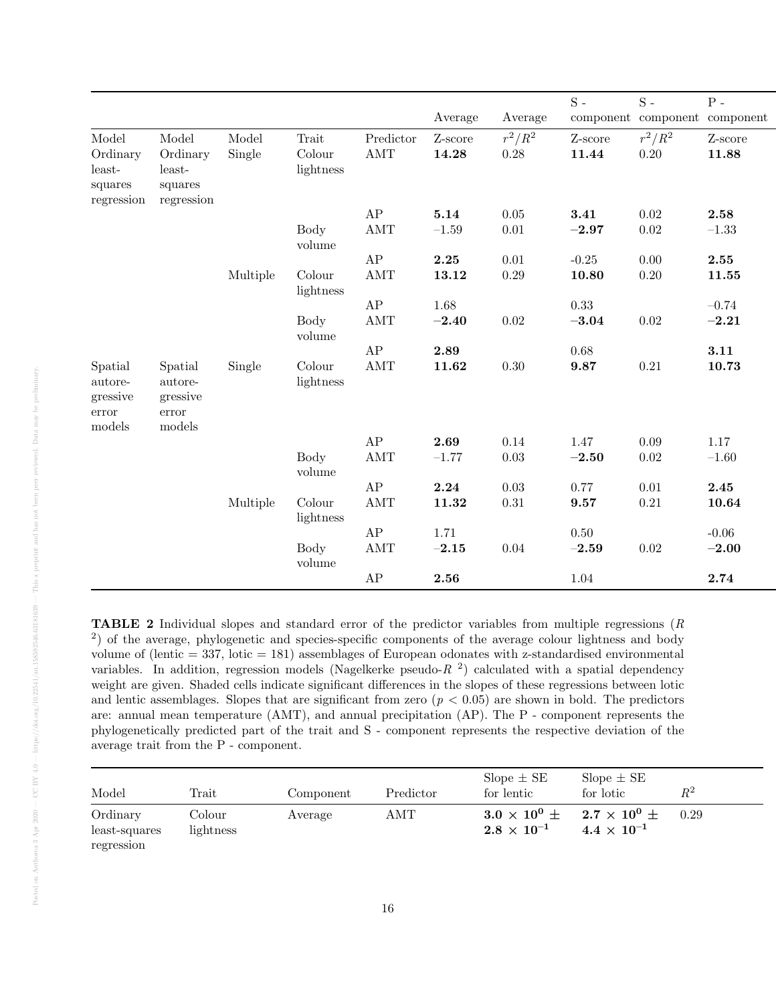|                                                   |                                                   |          |                       |                             |         |            | $S -$    | $S -$                         | ${\bf P}$ - |
|---------------------------------------------------|---------------------------------------------------|----------|-----------------------|-----------------------------|---------|------------|----------|-------------------------------|-------------|
|                                                   |                                                   |          |                       |                             | Average | Average    |          | component component component |             |
| Model                                             | Model                                             | Model    | Trait                 | Predictor                   | Z-score | $r^2/R^2$  | Z-score  | $r^2/R^2$                     | Z-score     |
| Ordinary<br>least-                                | Ordinary<br>least-                                | Single   | Colour<br>lightness   | $\mathop{\rm AMT}\nolimits$ | 14.28   | 0.28       | 11.44    | $0.20\,$                      | 11.88       |
| squares<br>regression                             | squares<br>regression                             |          |                       |                             |         |            |          |                               |             |
|                                                   |                                                   |          |                       | AP                          | 5.14    | 0.05       | 3.41     | 0.02                          | 2.58        |
|                                                   |                                                   |          | <b>Body</b><br>volume | AMT                         | $-1.59$ | $0.01\,$   | $-2.97$  | $\,0.02\,$                    | $-1.33$     |
|                                                   |                                                   |          |                       | AP                          | 2.25    | 0.01       | $-0.25$  | 0.00                          | 2.55        |
|                                                   |                                                   | Multiple | Colour<br>lightness   | $\mathop{\rm AMT}\nolimits$ | 13.12   | 0.29       | 10.80    | $0.20\,$                      | 11.55       |
|                                                   |                                                   |          |                       | AP                          | 1.68    |            | 0.33     |                               | $-0.74$     |
|                                                   |                                                   |          | <b>Body</b><br>volume | <b>AMT</b>                  | $-2.40$ | $\rm 0.02$ | $-3.04$  | $0.02\,$                      | $-2.21$     |
|                                                   |                                                   |          |                       | ${\rm AP}$                  | 2.89    |            | 0.68     |                               | 3.11        |
| Spatial<br>autore-<br>gressive<br>error<br>models | Spatial<br>autore-<br>gressive<br>error<br>models | Single   | Colour<br>lightness   | $\operatorname{AMT}$        | 11.62   | 0.30       | 9.87     | 0.21                          | 10.73       |
|                                                   |                                                   |          |                       | AP                          | 2.69    | 0.14       | 1.47     | 0.09                          | 1.17        |
|                                                   |                                                   |          | Body<br>volume        | $\operatorname{AMT}$        | $-1.77$ | 0.03       | $-2.50$  | $0.02\,$                      | $-1.60$     |
|                                                   |                                                   |          |                       | ${\rm AP}$                  | 2.24    | 0.03       | 0.77     | 0.01                          | 2.45        |
|                                                   |                                                   | Multiple | Colour<br>lightness   | $\mathop{\rm AMT}\nolimits$ | 11.32   | $0.31\,$   | 9.57     | 0.21                          | 10.64       |
|                                                   |                                                   |          |                       | AP                          | 1.71    |            | $0.50\,$ |                               | $-0.06$     |
|                                                   |                                                   |          | <b>Body</b><br>volume | AMT                         | $-2.15$ | 0.04       | $-2.59$  | $0.02\,$                      | $-2.00$     |
|                                                   |                                                   |          |                       | $\rm AP$                    | 2.56    |            | 1.04     |                               | 2.74        |

TABLE 2 Individual slopes and standard error of the predictor variables from multiple regressions (R <sup>2</sup>) of the average, phylogenetic and species-specific components of the average colour lightness and body volume of (lentic  $= 337$ , lotic  $= 181$ ) assemblages of European odonates with z-standardised environmental variables. In addition, regression models (Nagelkerke pseudo- $R<sup>2</sup>$ ) calculated with a spatial dependency weight are given. Shaded cells indicate significant differences in the slopes of these regressions between lotic and lentic assemblages. Slopes that are significant from zero  $(p < 0.05)$  are shown in bold. The predictors are: annual mean temperature (AMT), and annual precipitation (AP). The P - component represents the phylogenetically predicted part of the trait and S - component represents the respective deviation of the average trait from the P - component.

| Model                     | $\rm {Train}$       | Component | Predictor | $Slope \pm SE$<br>for lentic                    | Slope $\pm$ SE<br>for lotic                        | $R^2$ |
|---------------------------|---------------------|-----------|-----------|-------------------------------------------------|----------------------------------------------------|-------|
| Ordinary<br>least-squares | Colour<br>lightness | Average   | AMT       | $3.0 \times 10^{0}$ $\pm$<br>$2.8\times10^{-1}$ | 2.7 $\times$ 10 $^0$ $\pm$<br>$4.4 \times 10^{-1}$ | 0.29  |
| regression                |                     |           |           |                                                 |                                                    |       |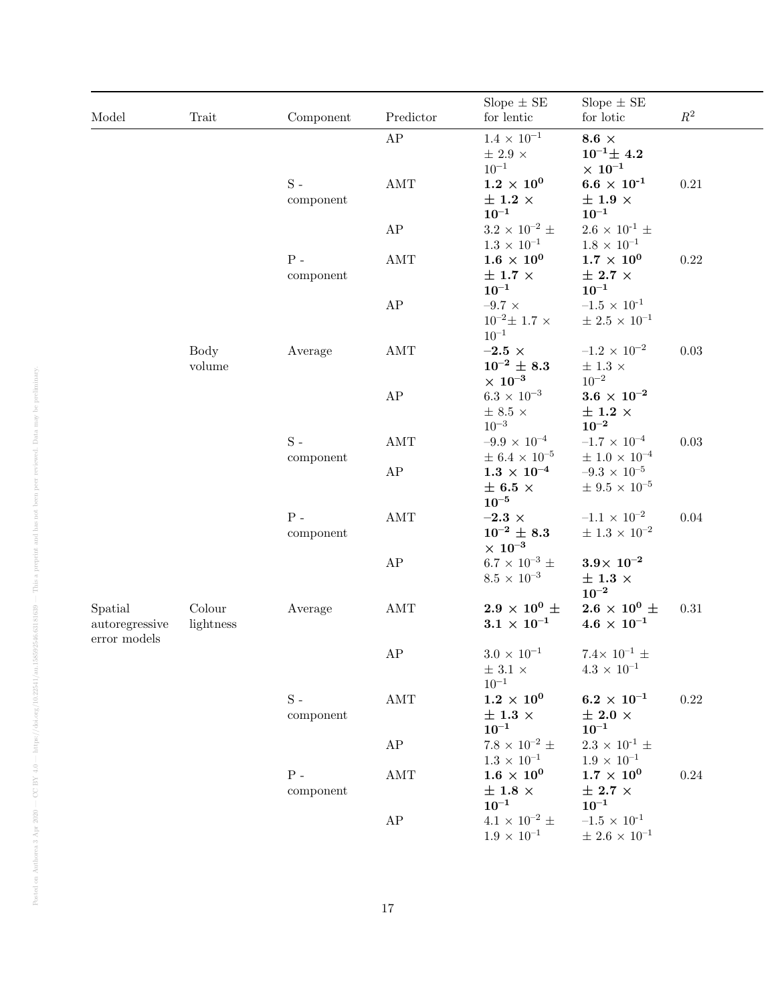| Model                                               | Trait               | Component                | Predictor                   | Slope $\pm$ SE<br>for lentic                                          | Slope $\pm$ SE<br>for lotic                                                          | $\mathbb{R}^2$ |
|-----------------------------------------------------|---------------------|--------------------------|-----------------------------|-----------------------------------------------------------------------|--------------------------------------------------------------------------------------|----------------|
|                                                     |                     |                          | ${\rm AP}$                  | $1.4\,\times\,10^{-1}$<br>$\pm$ 2.9 $\times$                          | 8.6 $\times$<br>$10^{-1}$ $\pm$ 4.2                                                  |                |
|                                                     |                     | ${\bf S}$ -<br>component | $\mathop{\rm AMT}\nolimits$ | $10^{-1}$<br>$1.2\,\times\,10^{0}$<br>$\pm$ 1.2 $\times$<br>$10^{-1}$ | $\times~10^{-1}$<br>$6.6 \times 10^{-1}$<br>$\pm$ 1.9 $\times$<br>$\mathbf{10^{-1}}$ | 0.21           |
|                                                     |                     |                          | $\rm AP$                    | $3.2$ $\times$ $10^{-2}$ $\pm$<br>$1.3 \times 10^{-1}$                | $2.6 \times 10^{-1} \pm$<br>$1.8 \times 10^{-1}$                                     |                |
|                                                     |                     | ${\bf P}$ -<br>component | $\operatorname{AMT}$        | $1.6 \times 10^{0}$<br>$\pm$ 1.7 $\times$<br>$10^{-1}$                | $1.7\times10^{0}$<br>$\pm$ 2.7 $\times$<br>$\mathbf{10}^{-1}$                        | 0.22           |
|                                                     |                     |                          | $\rm AP$                    | $-9.7 \times$<br>$10^{-2} \pm 1.7 \times$<br>$10^{-1}$                | $-1.5\,\times\,10^{\text{-}1}$<br>$\pm$ 2.5 $\times$ $10^{-1}$                       |                |
|                                                     | Body<br>volume      | Average                  | $\operatorname{AMT}$        | $-2.5 \times$<br>$10^{-2}$ $\pm$ 8.3<br>$\times~10^{-3}$              | $-1.2 \times 10^{-2}$<br>$\pm$ 1.3 $\times$<br>$10^{-2}$                             | 0.03           |
|                                                     |                     |                          | $\rm AP$                    | $6.3 \times 10^{-3}$<br>$\pm$ 8.5 $\times$<br>$10^{-3}$               | $3.6\,\times\,10^{-2}$<br>$\pm$ 1.2 $\times$<br>$10^{\rm -2}$                        |                |
|                                                     |                     | ${\bf S}$ -<br>component | $\operatorname{AMT}$        | $-9.9 \times 10^{-4}$<br>$\pm$ 6.4 $\times$ 10 <sup>-5</sup>          | $-1.7 \times 10^{-4}$<br>$\pm$ 1.0 $\times$ $10^{-4}$                                | 0.03           |
|                                                     |                     |                          | $\rm AP$                    | $1.3 \times 10^{-4}$<br>$\pm$ 6.5 $\times$<br>$10^{-5}$               | $-9.3 \times 10^{-5}$<br>$\pm$ 9.5 $\times$ $10^{-5}$                                |                |
|                                                     |                     | ${\bf P}$ -<br>component | $\operatorname{AMT}$        | $-2.3 \times$<br>$10^{-2}$ $\pm$ 8.3<br>$\times~10^{-3}$              | $-1.1 \times 10^{-2}$<br>$\pm$ 1.3 $\times$ $10^{-2}$                                | 0.04           |
|                                                     |                     |                          | ${\rm AP}$                  | $6.7 \times 10^{-3}$ ±<br>$8.5 \times 10^{-3}$                        | $3.9\times 10^{-2}$<br>$\pm$ 1.3 $\times$<br>$10^{\rm -2}$                           |                |
| Spatial<br>autoregressive<br>$\,$ error $\,$ models | Colour<br>lightness | Average                  | AMT                         | $2.9 \times 10^{0} \pm$<br>$3.1 \times 10^{-1}$                       | $2.6 \times 10^{0} \pm$<br>$4.6\,\times\,10^{-1}$                                    | 0.31           |
|                                                     |                     |                          | ${\rm AP}$                  | $3.0\,\times\,10^{-1}$<br>$\pm$ 3.1 $\times$<br>$10^{\rm -1}$         | 7.4 $\times$ 10 <sup>-1</sup> $\pm$<br>$4.3 \times 10^{-1}$                          |                |
|                                                     |                     | ${\bf S}$ -<br>component | $\operatorname{AMT}$        | $1.2\times10^{0}$<br>$\pm$ 1.3 $\times$<br>$10^{-1}$                  | $6.2 \times 10^{-1}$<br>$\pm$ 2.0 $\times$<br>$10^{-1}$                              | 0.22           |
|                                                     |                     |                          | AP                          | $7.8 \times 10^{-2} \pm$<br>$1.3 \times 10^{-1}$                      | $2.3 \times 10^{-1} \pm$<br>$1.9 \times 10^{-1}$                                     |                |
|                                                     |                     | ${\bf P}$ -<br>component | AMT                         | $1.6 \times 10^{0}$<br>$\pm$ 1.8 $\times$<br>$10^{-1}$                | $1.7\times10^{0}$<br>$\pm$ 2.7 $\times$<br>$10^{-1}$                                 | 0.24           |
|                                                     |                     |                          | ${\rm AP}$                  | $4.1 \times 10^{-2} \pm$<br>$1.9 \times 10^{-1}$                      | $-1.5 \times 10^{-1}$<br>$\pm$ 2.6 $\times$ $10^{-1}$                                |                |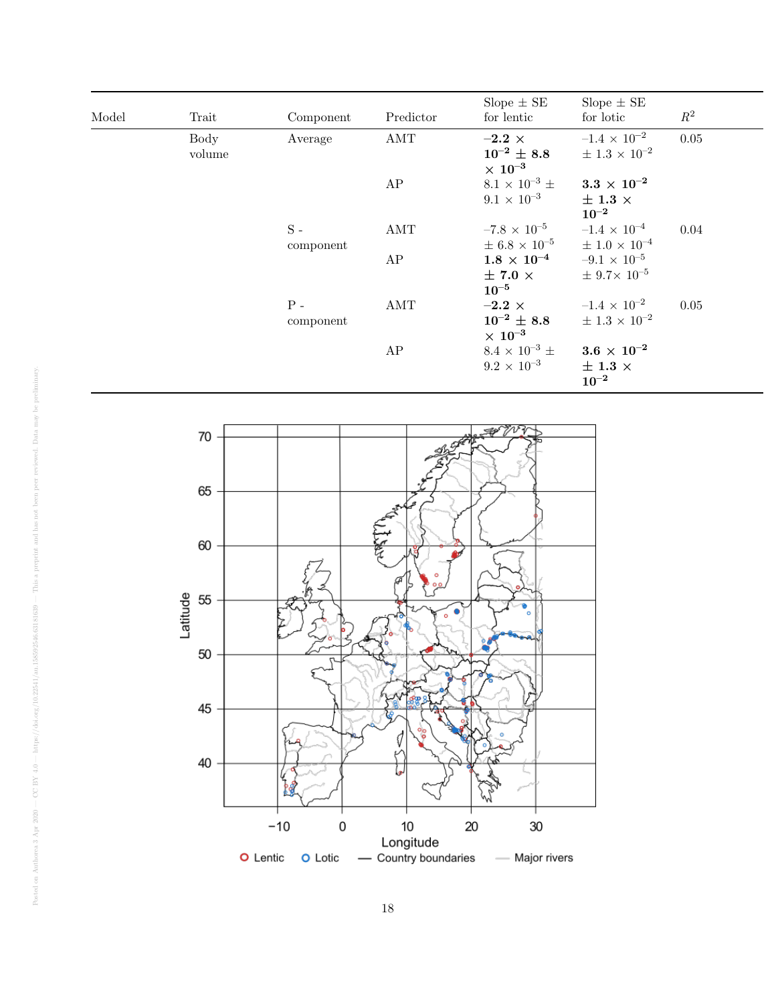| Model | Trait          | Component                | Predictor | Slope $\pm$ SE<br>for lentic                              | Slope $\pm$ SE<br>for lotic                               | $R^2$ |
|-------|----------------|--------------------------|-----------|-----------------------------------------------------------|-----------------------------------------------------------|-------|
|       | Body<br>volume | Average                  | AMT       | $-2.2$ $\times$<br>$10^{-2} \pm 8.8$<br>$\times~10^{-3}$  | $-1.4 \times 10^{-2}$<br>$\pm 1.3 \times 10^{-2}$         | 0.05  |
|       |                |                          | AP        | $8.1 \times 10^{-3}$ ±<br>$9.1 \times 10^{-3}$            | $3.3\,\times\,10^{-2}$<br>$\pm$ 1.3 $\times$<br>$10^{-2}$ |       |
|       |                | ${\bf S}$ -<br>component | AMT       | $-7.8 \times 10^{-5}$<br>$\pm 6.8 \times 10^{-5}$         | $-1.4 \times 10^{-4}$<br>$\pm$ 1.0 $\times$ $10^{-4}$     | 0.04  |
|       |                |                          | AP        | $1.8\,\times\,10^{-4}$<br>$\pm$ 7.0 $\times$<br>$10^{-5}$ | $-9.1 \times 10^{-5}$<br>$\pm$ 9.7 × 10 <sup>-5</sup>     |       |
|       |                | ${\bf P}$ -<br>component | AMT       | $-2.2$ $\times$<br>$10^{-2} \pm 8.8$<br>$\times~10^{-3}$  | $-1.4 \times 10^{-2}$<br>$\pm$ 1.3 $\times$ $10^{-2}$     | 0.05  |
|       |                |                          | AP        | $8.4 \times 10^{-3}$ ±<br>$9.2 \times 10^{-3}$            | $3.6\,\times\,10^{-2}$<br>$\pm$ 1.3 $\times$<br>$10^{-2}$ |       |